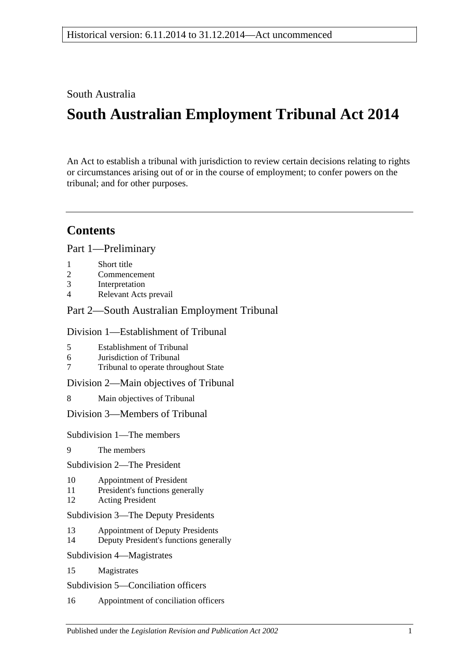South Australia

# **South Australian Employment Tribunal Act 2014**

An Act to establish a tribunal with jurisdiction to review certain decisions relating to rights or circumstances arising out of or in the course of employment; to confer powers on the tribunal; and for other purposes.

## **Contents**

Part [1—Preliminary](#page-3-0)

- 1 [Short title](#page-3-1)
- 2 [Commencement](#page-3-2)
- 3 [Interpretation](#page-3-3)
- 4 [Relevant Acts prevail](#page-5-0)

## Part [2—South Australian Employment Tribunal](#page-5-1)

## Division [1—Establishment of Tribunal](#page-5-2)

- 5 [Establishment of Tribunal](#page-5-3)
- 6 [Jurisdiction of Tribunal](#page-5-4)
- 7 [Tribunal to operate throughout State](#page-5-5)

Division [2—Main objectives of Tribunal](#page-5-6)

8 [Main objectives of Tribunal](#page-5-7)

Division [3—Members of Tribunal](#page-6-0)

Subdivision [1—The members](#page-6-1)

9 [The members](#page-6-2)

Subdivision [2—The President](#page-6-3)

- 10 [Appointment of President](#page-6-4)
- 11 [President's functions generally](#page-6-5)
- 12 [Acting President](#page-7-0)

Subdivision [3—The Deputy Presidents](#page-7-1)

- 13 [Appointment of Deputy Presidents](#page-7-2)
- 14 [Deputy President's functions generally](#page-8-0)
- Subdivision [4—Magistrates](#page-8-1)
- 15 [Magistrates](#page-8-2)

Subdivision [5—Conciliation officers](#page-9-0)

16 [Appointment of conciliation officers](#page-9-1)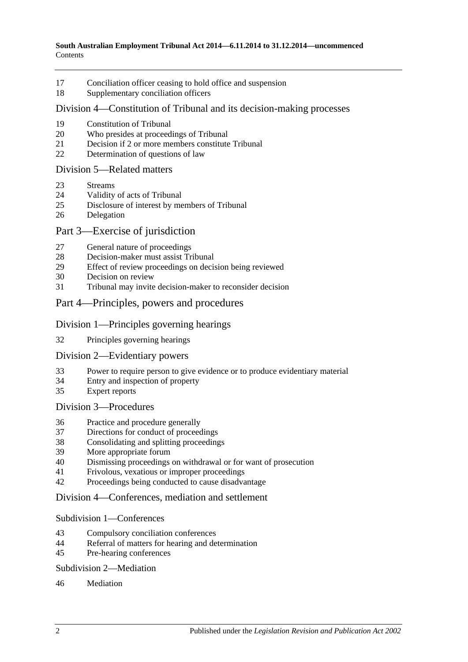- [Conciliation officer ceasing to hold office and suspension](#page-10-0)
- [Supplementary conciliation officers](#page-11-0)

#### Division [4—Constitution of Tribunal and its decision-making processes](#page-11-1)

- [Constitution of Tribunal](#page-11-2)
- [Who presides at proceedings of Tribunal](#page-12-0)
- [Decision if 2 or more members constitute Tribunal](#page-12-1)
- [Determination of questions of law](#page-13-0)

#### Division [5—Related matters](#page-13-1)

- [Streams](#page-13-2)
- [Validity of acts of Tribunal](#page-13-3)
- [Disclosure of interest by members of Tribunal](#page-13-4)
- [Delegation](#page-14-0)

#### Part [3—Exercise of jurisdiction](#page-14-1)

- [General nature of proceedings](#page-14-2)
- [Decision-maker must assist Tribunal](#page-14-3)
- [Effect of review proceedings on decision being reviewed](#page-15-0)
- [Decision on review](#page-16-0)
- [Tribunal may invite decision-maker to reconsider decision](#page-16-1)
- Part [4—Principles, powers and procedures](#page-17-0)

#### Division [1—Principles governing hearings](#page-17-1)

[Principles governing hearings](#page-17-2)

#### Division [2—Evidentiary powers](#page-17-3)

- [Power to require person to give evidence or to produce evidentiary material](#page-17-4)
- [Entry and inspection of property](#page-18-0)
- [Expert reports](#page-18-1)

#### Division [3—Procedures](#page-19-0)

- [Practice and procedure generally](#page-19-1)
- [Directions for conduct of proceedings](#page-19-2)
- [Consolidating and splitting proceedings](#page-20-0)
- [More appropriate forum](#page-20-1)<br>40 Dismissing proceedings
- [Dismissing proceedings on withdrawal or for want of prosecution](#page-20-2)
- [Frivolous, vexatious or improper proceedings](#page-20-3)
- [Proceedings being conducted to cause disadvantage](#page-21-0)

#### Division [4—Conferences, mediation and settlement](#page-22-0)

#### Subdivision [1—Conferences](#page-22-1)

- [Compulsory conciliation conferences](#page-22-2)
- [Referral of matters for hearing and determination](#page-23-0)
- [Pre-hearing conferences](#page-24-0)

#### Subdivision [2—Mediation](#page-24-1)

#### [Mediation](#page-24-2)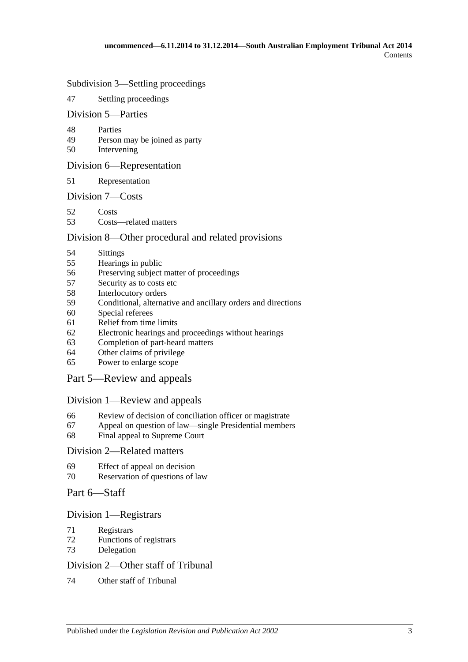#### Subdivision [3—Settling proceedings](#page-25-0)

[Settling proceedings](#page-25-1)

#### Division [5—Parties](#page-25-2)

- [Parties](#page-25-3)
- [Person may be joined as party](#page-26-0)
- [Intervening](#page-26-1)

#### Division [6—Representation](#page-26-2)

[Representation](#page-26-3)

#### Division [7—Costs](#page-26-4)

- [Costs](#page-26-5)
- [Costs—related matters](#page-27-0)

#### Division [8—Other procedural and related provisions](#page-28-0)

- [Sittings](#page-28-1)
- [Hearings in public](#page-28-2)<br>56 Preserving subject
- [Preserving subject matter of proceedings](#page-28-3)
- [Security as to costs etc](#page-29-0)
- [Interlocutory orders](#page-29-1)
- [Conditional, alternative and ancillary orders and directions](#page-30-0)
- [Special referees](#page-30-1)
- [Relief from time limits](#page-30-2)
- [Electronic hearings and proceedings without hearings](#page-30-3)
- [Completion of part-heard matters](#page-30-4)
- [Other claims of privilege](#page-31-0)
- [Power to enlarge scope](#page-31-1)

#### Part [5—Review and appeals](#page-31-2)

#### Division [1—Review and appeals](#page-31-3)

- [Review of decision of conciliation officer or magistrate](#page-31-4)
- [Appeal on question of law—single Presidential members](#page-31-5)
- [Final appeal to Supreme Court](#page-32-0)

#### Division [2—Related matters](#page-32-1)

- [Effect of appeal on decision](#page-32-2)
- [Reservation of questions of law](#page-32-3)

#### Part [6—Staff](#page-33-0)

#### Division [1—Registrars](#page-33-1)

- [Registrars](#page-33-2)
- [Functions of registrars](#page-33-3)
- [Delegation](#page-34-0)

#### Division [2—Other staff of Tribunal](#page-34-1)

[Other staff of Tribunal](#page-34-2)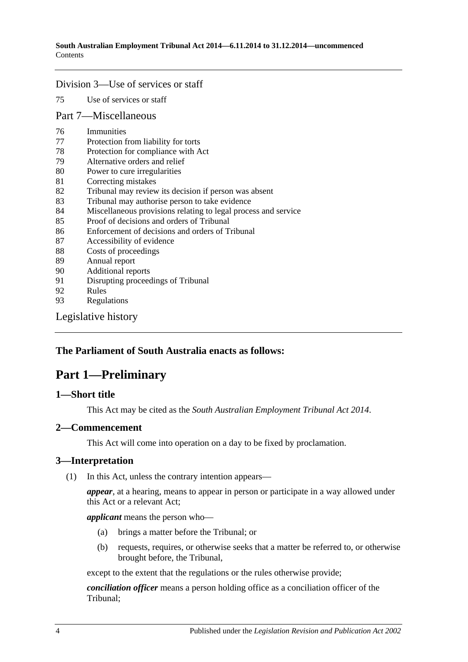#### Division [3—Use of services or staff](#page-34-3)

75 [Use of services or staff](#page-34-4)

#### Part [7—Miscellaneous](#page-34-5)

- 76 [Immunities](#page-34-6)
- 77 [Protection from liability for torts](#page-35-0)
- 78 [Protection for compliance with Act](#page-35-1)
- 79 [Alternative orders and relief](#page-35-2)
- 80 [Power to cure irregularities](#page-35-3)
- 81 [Correcting mistakes](#page-36-0)
- 82 [Tribunal may review its decision if person was absent](#page-36-1)
- 83 [Tribunal may authorise person to take evidence](#page-37-0)
- 84 [Miscellaneous provisions relating to legal process and service](#page-37-1)
- 85 [Proof of decisions and orders of Tribunal](#page-37-2)
- 86 [Enforcement of decisions and orders of Tribunal](#page-37-3)
- 87 [Accessibility of evidence](#page-38-0)
- 88 [Costs of proceedings](#page-38-1)
- 89 [Annual report](#page-39-0)
- 90 [Additional reports](#page-39-1)
- 91 [Disrupting proceedings of Tribunal](#page-39-2)<br>92 Rules
- **[Rules](#page-39-3)**
- 93 [Regulations](#page-40-0)

[Legislative history](#page-42-0)

#### <span id="page-3-0"></span>**The Parliament of South Australia enacts as follows:**

## **Part 1—Preliminary**

#### <span id="page-3-1"></span>**1—Short title**

This Act may be cited as the *South Australian Employment Tribunal Act 2014*.

#### <span id="page-3-2"></span>**2—Commencement**

This Act will come into operation on a day to be fixed by proclamation.

#### <span id="page-3-3"></span>**3—Interpretation**

(1) In this Act, unless the contrary intention appears—

*appear*, at a hearing, means to appear in person or participate in a way allowed under this Act or a relevant Act;

*applicant* means the person who—

- (a) brings a matter before the Tribunal; or
- (b) requests, requires, or otherwise seeks that a matter be referred to, or otherwise brought before, the Tribunal,

except to the extent that the regulations or the rules otherwise provide;

*conciliation officer* means a person holding office as a conciliation officer of the Tribunal;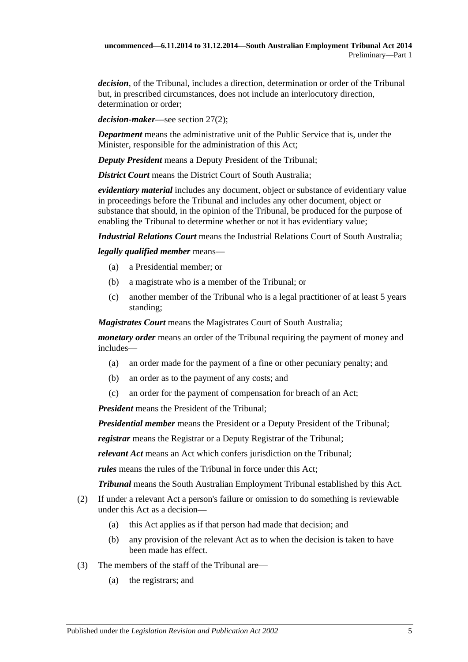*decision*, of the Tribunal, includes a direction, determination or order of the Tribunal but, in prescribed circumstances, does not include an interlocutory direction, determination or order;

*decision-maker*—see [section](#page-14-4) 27(2);

*Department* means the administrative unit of the Public Service that is, under the Minister, responsible for the administration of this Act;

*Deputy President* means a Deputy President of the Tribunal;

*District Court* means the District Court of South Australia:

*evidentiary material* includes any document, object or substance of evidentiary value in proceedings before the Tribunal and includes any other document, object or substance that should, in the opinion of the Tribunal, be produced for the purpose of enabling the Tribunal to determine whether or not it has evidentiary value;

*Industrial Relations Court* means the Industrial Relations Court of South Australia;

*legally qualified member* means—

- (a) a Presidential member; or
- (b) a magistrate who is a member of the Tribunal; or
- (c) another member of the Tribunal who is a legal practitioner of at least 5 years standing;

*Magistrates Court* means the Magistrates Court of South Australia;

*monetary order* means an order of the Tribunal requiring the payment of money and includes—

- (a) an order made for the payment of a fine or other pecuniary penalty; and
- (b) an order as to the payment of any costs; and
- (c) an order for the payment of compensation for breach of an Act;

*President* means the President of the Tribunal;

*Presidential member* means the President or a Deputy President of the Tribunal;

*registrar* means the Registrar or a Deputy Registrar of the Tribunal;

*relevant Act* means an Act which confers jurisdiction on the Tribunal;

*rules* means the rules of the Tribunal in force under this Act;

*Tribunal* means the South Australian Employment Tribunal established by this Act.

- (2) If under a relevant Act a person's failure or omission to do something is reviewable under this Act as a decision—
	- (a) this Act applies as if that person had made that decision; and
	- (b) any provision of the relevant Act as to when the decision is taken to have been made has effect.
- (3) The members of the staff of the Tribunal are—
	- (a) the registrars; and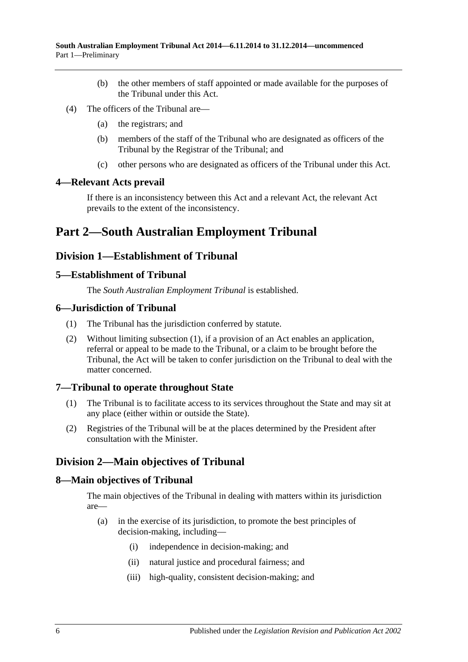- (b) the other members of staff appointed or made available for the purposes of the Tribunal under this Act.
- (4) The officers of the Tribunal are—
	- (a) the registrars; and
	- (b) members of the staff of the Tribunal who are designated as officers of the Tribunal by the Registrar of the Tribunal; and
	- (c) other persons who are designated as officers of the Tribunal under this Act.

#### <span id="page-5-0"></span>**4—Relevant Acts prevail**

If there is an inconsistency between this Act and a relevant Act, the relevant Act prevails to the extent of the inconsistency.

## <span id="page-5-1"></span>**Part 2—South Australian Employment Tribunal**

## <span id="page-5-2"></span>**Division 1—Establishment of Tribunal**

#### <span id="page-5-3"></span>**5—Establishment of Tribunal**

The *South Australian Employment Tribunal* is established.

#### <span id="page-5-8"></span><span id="page-5-4"></span>**6—Jurisdiction of Tribunal**

- (1) The Tribunal has the jurisdiction conferred by statute.
- (2) Without limiting [subsection](#page-5-8) (1), if a provision of an Act enables an application, referral or appeal to be made to the Tribunal, or a claim to be brought before the Tribunal, the Act will be taken to confer jurisdiction on the Tribunal to deal with the matter concerned.

#### <span id="page-5-5"></span>**7—Tribunal to operate throughout State**

- (1) The Tribunal is to facilitate access to its services throughout the State and may sit at any place (either within or outside the State).
- (2) Registries of the Tribunal will be at the places determined by the President after consultation with the Minister.

## <span id="page-5-6"></span>**Division 2—Main objectives of Tribunal**

#### <span id="page-5-7"></span>**8—Main objectives of Tribunal**

The main objectives of the Tribunal in dealing with matters within its jurisdiction are—

- (a) in the exercise of its jurisdiction, to promote the best principles of decision-making, including—
	- (i) independence in decision-making; and
	- (ii) natural justice and procedural fairness; and
	- (iii) high-quality, consistent decision-making; and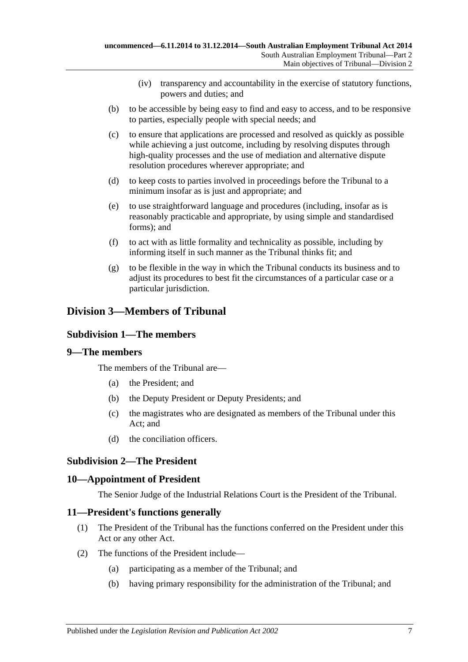- (iv) transparency and accountability in the exercise of statutory functions, powers and duties; and
- (b) to be accessible by being easy to find and easy to access, and to be responsive to parties, especially people with special needs; and
- (c) to ensure that applications are processed and resolved as quickly as possible while achieving a just outcome, including by resolving disputes through high-quality processes and the use of mediation and alternative dispute resolution procedures wherever appropriate; and
- (d) to keep costs to parties involved in proceedings before the Tribunal to a minimum insofar as is just and appropriate; and
- (e) to use straightforward language and procedures (including, insofar as is reasonably practicable and appropriate, by using simple and standardised forms); and
- (f) to act with as little formality and technicality as possible, including by informing itself in such manner as the Tribunal thinks fit; and
- (g) to be flexible in the way in which the Tribunal conducts its business and to adjust its procedures to best fit the circumstances of a particular case or a particular jurisdiction.

## <span id="page-6-1"></span><span id="page-6-0"></span>**Division 3—Members of Tribunal**

## **Subdivision 1—The members**

#### <span id="page-6-2"></span>**9—The members**

The members of the Tribunal are—

- (a) the President; and
- (b) the Deputy President or Deputy Presidents; and
- (c) the magistrates who are designated as members of the Tribunal under this Act; and
- (d) the conciliation officers.

#### <span id="page-6-3"></span>**Subdivision 2—The President**

#### <span id="page-6-4"></span>**10—Appointment of President**

The Senior Judge of the Industrial Relations Court is the President of the Tribunal.

#### <span id="page-6-5"></span>**11—President's functions generally**

- (1) The President of the Tribunal has the functions conferred on the President under this Act or any other Act.
- (2) The functions of the President include—
	- (a) participating as a member of the Tribunal; and
	- (b) having primary responsibility for the administration of the Tribunal; and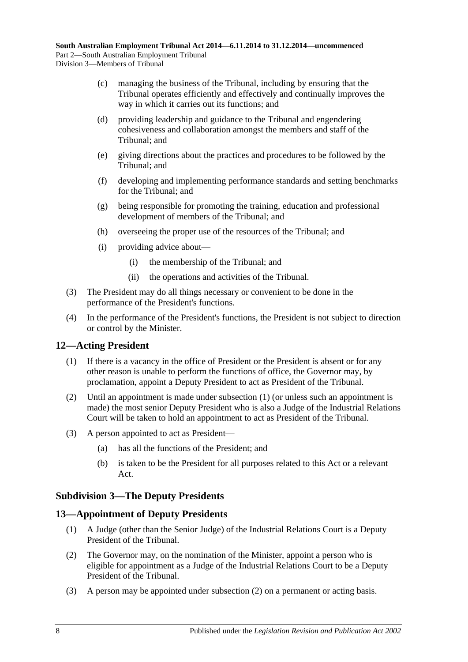- (c) managing the business of the Tribunal, including by ensuring that the Tribunal operates efficiently and effectively and continually improves the way in which it carries out its functions; and
- (d) providing leadership and guidance to the Tribunal and engendering cohesiveness and collaboration amongst the members and staff of the Tribunal; and
- (e) giving directions about the practices and procedures to be followed by the Tribunal; and
- (f) developing and implementing performance standards and setting benchmarks for the Tribunal; and
- (g) being responsible for promoting the training, education and professional development of members of the Tribunal; and
- (h) overseeing the proper use of the resources of the Tribunal; and
- (i) providing advice about—
	- (i) the membership of the Tribunal; and
	- (ii) the operations and activities of the Tribunal.
- (3) The President may do all things necessary or convenient to be done in the performance of the President's functions.
- (4) In the performance of the President's functions, the President is not subject to direction or control by the Minister.

## <span id="page-7-3"></span><span id="page-7-0"></span>**12—Acting President**

- (1) If there is a vacancy in the office of President or the President is absent or for any other reason is unable to perform the functions of office, the Governor may, by proclamation, appoint a Deputy President to act as President of the Tribunal.
- (2) Until an appointment is made under [subsection](#page-7-3) (1) (or unless such an appointment is made) the most senior Deputy President who is also a Judge of the Industrial Relations Court will be taken to hold an appointment to act as President of the Tribunal.
- (3) A person appointed to act as President—
	- (a) has all the functions of the President; and
	- (b) is taken to be the President for all purposes related to this Act or a relevant Act.

#### <span id="page-7-1"></span>**Subdivision 3—The Deputy Presidents**

## <span id="page-7-2"></span>**13—Appointment of Deputy Presidents**

- (1) A Judge (other than the Senior Judge) of the Industrial Relations Court is a Deputy President of the Tribunal.
- <span id="page-7-4"></span>(2) The Governor may, on the nomination of the Minister, appoint a person who is eligible for appointment as a Judge of the Industrial Relations Court to be a Deputy President of the Tribunal.
- (3) A person may be appointed under [subsection](#page-7-4) (2) on a permanent or acting basis.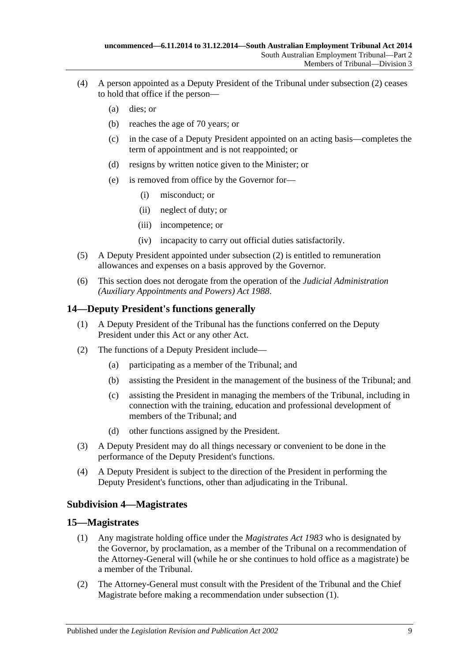- (4) A person appointed as a Deputy President of the Tribunal under [subsection](#page-7-4) (2) ceases to hold that office if the person—
	- (a) dies; or
	- (b) reaches the age of 70 years; or
	- (c) in the case of a Deputy President appointed on an acting basis—completes the term of appointment and is not reappointed; or
	- (d) resigns by written notice given to the Minister; or
	- (e) is removed from office by the Governor for—
		- (i) misconduct; or
		- (ii) neglect of duty; or
		- (iii) incompetence; or
		- (iv) incapacity to carry out official duties satisfactorily.
- (5) A Deputy President appointed under [subsection](#page-7-4) (2) is entitled to remuneration allowances and expenses on a basis approved by the Governor.
- (6) This section does not derogate from the operation of the *[Judicial Administration](http://www.legislation.sa.gov.au/index.aspx?action=legref&type=act&legtitle=Judicial%20Administration%20(Auxiliary%20Appointments%20and%20Powers)%20Act%201988)  [\(Auxiliary Appointments and Powers\) Act](http://www.legislation.sa.gov.au/index.aspx?action=legref&type=act&legtitle=Judicial%20Administration%20(Auxiliary%20Appointments%20and%20Powers)%20Act%201988) 1988*.

#### <span id="page-8-0"></span>**14—Deputy President's functions generally**

- (1) A Deputy President of the Tribunal has the functions conferred on the Deputy President under this Act or any other Act.
- (2) The functions of a Deputy President include—
	- (a) participating as a member of the Tribunal; and
	- (b) assisting the President in the management of the business of the Tribunal; and
	- (c) assisting the President in managing the members of the Tribunal, including in connection with the training, education and professional development of members of the Tribunal; and
	- (d) other functions assigned by the President.
- (3) A Deputy President may do all things necessary or convenient to be done in the performance of the Deputy President's functions.
- (4) A Deputy President is subject to the direction of the President in performing the Deputy President's functions, other than adjudicating in the Tribunal.

#### <span id="page-8-1"></span>**Subdivision 4—Magistrates**

#### <span id="page-8-3"></span><span id="page-8-2"></span>**15—Magistrates**

- (1) Any magistrate holding office under the *[Magistrates Act](http://www.legislation.sa.gov.au/index.aspx?action=legref&type=act&legtitle=Magistrates%20Act%201983) 1983* who is designated by the Governor, by proclamation, as a member of the Tribunal on a recommendation of the Attorney-General will (while he or she continues to hold office as a magistrate) be a member of the Tribunal.
- (2) The Attorney-General must consult with the President of the Tribunal and the Chief Magistrate before making a recommendation under [subsection](#page-8-3) (1).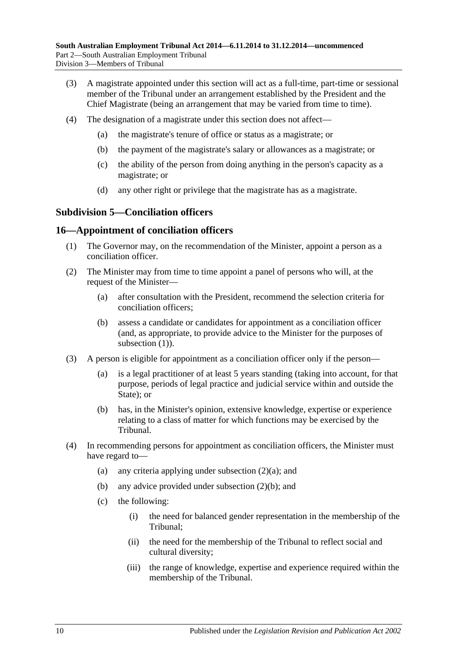- (3) A magistrate appointed under this section will act as a full-time, part-time or sessional member of the Tribunal under an arrangement established by the President and the Chief Magistrate (being an arrangement that may be varied from time to time).
- (4) The designation of a magistrate under this section does not affect—
	- (a) the magistrate's tenure of office or status as a magistrate; or
	- (b) the payment of the magistrate's salary or allowances as a magistrate; or
	- (c) the ability of the person from doing anything in the person's capacity as a magistrate; or
	- (d) any other right or privilege that the magistrate has as a magistrate.

#### <span id="page-9-0"></span>**Subdivision 5—Conciliation officers**

#### <span id="page-9-2"></span><span id="page-9-1"></span>**16—Appointment of conciliation officers**

- (1) The Governor may, on the recommendation of the Minister, appoint a person as a conciliation officer.
- <span id="page-9-5"></span><span id="page-9-3"></span>(2) The Minister may from time to time appoint a panel of persons who will, at the request of the Minister—
	- (a) after consultation with the President, recommend the selection criteria for conciliation officers;
	- (b) assess a candidate or candidates for appointment as a conciliation officer (and, as appropriate, to provide advice to the Minister for the purposes of [subsection](#page-9-2) (1)).
- <span id="page-9-4"></span>(3) A person is eligible for appointment as a conciliation officer only if the person—
	- (a) is a legal practitioner of at least 5 years standing (taking into account, for that purpose, periods of legal practice and judicial service within and outside the State); or
	- (b) has, in the Minister's opinion, extensive knowledge, expertise or experience relating to a class of matter for which functions may be exercised by the Tribunal.
- (4) In recommending persons for appointment as conciliation officers, the Minister must have regard to
	- (a) any criteria applying under [subsection](#page-9-3)  $(2)(a)$ ; and
	- (b) any advice provided under [subsection](#page-9-4) (2)(b); and
	- (c) the following:
		- (i) the need for balanced gender representation in the membership of the Tribunal;
		- (ii) the need for the membership of the Tribunal to reflect social and cultural diversity;
		- (iii) the range of knowledge, expertise and experience required within the membership of the Tribunal.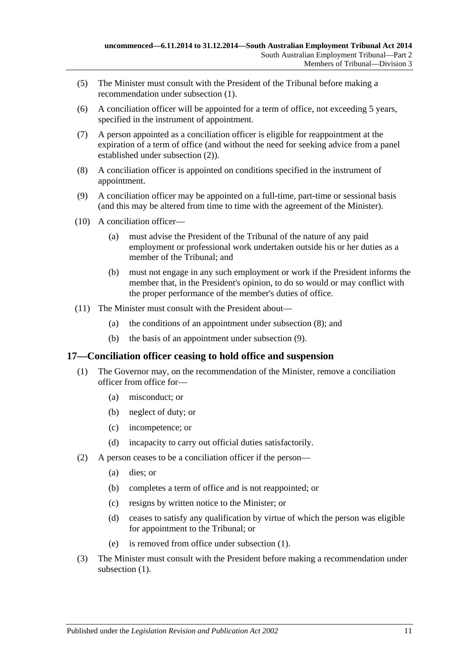- (5) The Minister must consult with the President of the Tribunal before making a recommendation under [subsection](#page-9-2) (1).
- (6) A conciliation officer will be appointed for a term of office, not exceeding 5 years, specified in the instrument of appointment.
- (7) A person appointed as a conciliation officer is eligible for reappointment at the expiration of a term of office (and without the need for seeking advice from a panel established under [subsection](#page-9-5) (2)).
- <span id="page-10-1"></span>(8) A conciliation officer is appointed on conditions specified in the instrument of appointment.
- <span id="page-10-2"></span>(9) A conciliation officer may be appointed on a full-time, part-time or sessional basis (and this may be altered from time to time with the agreement of the Minister).
- (10) A conciliation officer—
	- (a) must advise the President of the Tribunal of the nature of any paid employment or professional work undertaken outside his or her duties as a member of the Tribunal; and
	- (b) must not engage in any such employment or work if the President informs the member that, in the President's opinion, to do so would or may conflict with the proper performance of the member's duties of office.
- (11) The Minister must consult with the President about—
	- (a) the conditions of an appointment under [subsection](#page-10-1) (8); and
	- (b) the basis of an appointment under [subsection](#page-10-2) (9).

#### <span id="page-10-3"></span><span id="page-10-0"></span>**17—Conciliation officer ceasing to hold office and suspension**

- (1) The Governor may, on the recommendation of the Minister, remove a conciliation officer from office for—
	- (a) misconduct; or
	- (b) neglect of duty; or
	- (c) incompetence; or
	- (d) incapacity to carry out official duties satisfactorily.
- (2) A person ceases to be a conciliation officer if the person—
	- (a) dies; or
	- (b) completes a term of office and is not reappointed; or
	- (c) resigns by written notice to the Minister; or
	- (d) ceases to satisfy any qualification by virtue of which the person was eligible for appointment to the Tribunal; or
	- (e) is removed from office under [subsection](#page-10-3) (1).
- (3) The Minister must consult with the President before making a recommendation under [subsection](#page-10-3)  $(1)$ .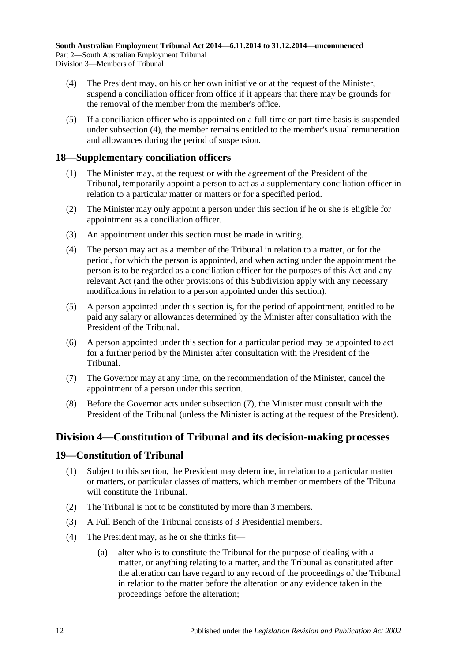- <span id="page-11-3"></span>(4) The President may, on his or her own initiative or at the request of the Minister, suspend a conciliation officer from office if it appears that there may be grounds for the removal of the member from the member's office.
- (5) If a conciliation officer who is appointed on a full-time or part-time basis is suspended under [subsection](#page-11-3) (4), the member remains entitled to the member's usual remuneration and allowances during the period of suspension.

## <span id="page-11-0"></span>**18—Supplementary conciliation officers**

- (1) The Minister may, at the request or with the agreement of the President of the Tribunal, temporarily appoint a person to act as a supplementary conciliation officer in relation to a particular matter or matters or for a specified period.
- (2) The Minister may only appoint a person under this section if he or she is eligible for appointment as a conciliation officer.
- (3) An appointment under this section must be made in writing.
- (4) The person may act as a member of the Tribunal in relation to a matter, or for the period, for which the person is appointed, and when acting under the appointment the person is to be regarded as a conciliation officer for the purposes of this Act and any relevant Act (and the other provisions of this Subdivision apply with any necessary modifications in relation to a person appointed under this section).
- (5) A person appointed under this section is, for the period of appointment, entitled to be paid any salary or allowances determined by the Minister after consultation with the President of the Tribunal.
- (6) A person appointed under this section for a particular period may be appointed to act for a further period by the Minister after consultation with the President of the Tribunal.
- <span id="page-11-4"></span>(7) The Governor may at any time, on the recommendation of the Minister, cancel the appointment of a person under this section.
- (8) Before the Governor acts under [subsection](#page-11-4) (7), the Minister must consult with the President of the Tribunal (unless the Minister is acting at the request of the President).

## <span id="page-11-1"></span>**Division 4—Constitution of Tribunal and its decision-making processes**

#### <span id="page-11-2"></span>**19—Constitution of Tribunal**

- (1) Subject to this section, the President may determine, in relation to a particular matter or matters, or particular classes of matters, which member or members of the Tribunal will constitute the Tribunal.
- (2) The Tribunal is not to be constituted by more than 3 members.
- (3) A Full Bench of the Tribunal consists of 3 Presidential members.
- (4) The President may, as he or she thinks fit—
	- (a) alter who is to constitute the Tribunal for the purpose of dealing with a matter, or anything relating to a matter, and the Tribunal as constituted after the alteration can have regard to any record of the proceedings of the Tribunal in relation to the matter before the alteration or any evidence taken in the proceedings before the alteration;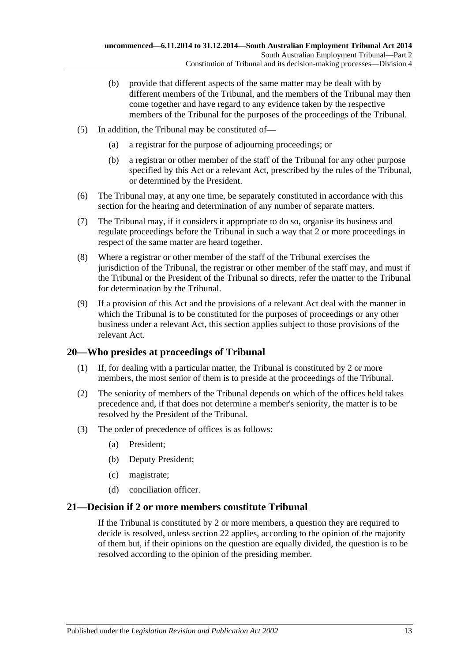- (b) provide that different aspects of the same matter may be dealt with by different members of the Tribunal, and the members of the Tribunal may then come together and have regard to any evidence taken by the respective members of the Tribunal for the purposes of the proceedings of the Tribunal.
- (5) In addition, the Tribunal may be constituted of—
	- (a) a registrar for the purpose of adjourning proceedings; or
	- (b) a registrar or other member of the staff of the Tribunal for any other purpose specified by this Act or a relevant Act, prescribed by the rules of the Tribunal, or determined by the President.
- (6) The Tribunal may, at any one time, be separately constituted in accordance with this section for the hearing and determination of any number of separate matters.
- (7) The Tribunal may, if it considers it appropriate to do so, organise its business and regulate proceedings before the Tribunal in such a way that 2 or more proceedings in respect of the same matter are heard together.
- (8) Where a registrar or other member of the staff of the Tribunal exercises the jurisdiction of the Tribunal, the registrar or other member of the staff may, and must if the Tribunal or the President of the Tribunal so directs, refer the matter to the Tribunal for determination by the Tribunal.
- (9) If a provision of this Act and the provisions of a relevant Act deal with the manner in which the Tribunal is to be constituted for the purposes of proceedings or any other business under a relevant Act, this section applies subject to those provisions of the relevant Act.

#### <span id="page-12-0"></span>**20—Who presides at proceedings of Tribunal**

- (1) If, for dealing with a particular matter, the Tribunal is constituted by 2 or more members, the most senior of them is to preside at the proceedings of the Tribunal.
- (2) The seniority of members of the Tribunal depends on which of the offices held takes precedence and, if that does not determine a member's seniority, the matter is to be resolved by the President of the Tribunal.
- (3) The order of precedence of offices is as follows:
	- (a) President;
	- (b) Deputy President;
	- (c) magistrate;
	- (d) conciliation officer.

#### <span id="page-12-1"></span>**21—Decision if 2 or more members constitute Tribunal**

If the Tribunal is constituted by 2 or more members, a question they are required to decide is resolved, unless [section](#page-13-0) 22 applies, according to the opinion of the majority of them but, if their opinions on the question are equally divided, the question is to be resolved according to the opinion of the presiding member.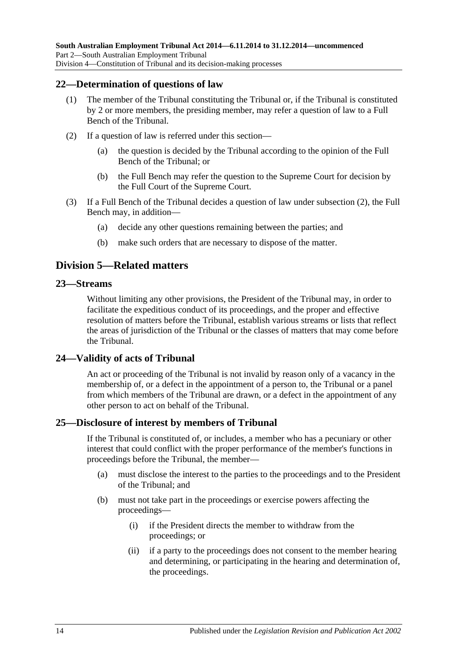#### <span id="page-13-0"></span>**22—Determination of questions of law**

- (1) The member of the Tribunal constituting the Tribunal or, if the Tribunal is constituted by 2 or more members, the presiding member, may refer a question of law to a Full Bench of the Tribunal.
- <span id="page-13-5"></span>(2) If a question of law is referred under this section—
	- (a) the question is decided by the Tribunal according to the opinion of the Full Bench of the Tribunal; or
	- (b) the Full Bench may refer the question to the Supreme Court for decision by the Full Court of the Supreme Court.
- (3) If a Full Bench of the Tribunal decides a question of law under [subsection](#page-13-5) (2), the Full Bench may, in addition—
	- (a) decide any other questions remaining between the parties; and
	- (b) make such orders that are necessary to dispose of the matter.

## <span id="page-13-1"></span>**Division 5—Related matters**

#### <span id="page-13-2"></span>**23—Streams**

Without limiting any other provisions, the President of the Tribunal may, in order to facilitate the expeditious conduct of its proceedings, and the proper and effective resolution of matters before the Tribunal, establish various streams or lists that reflect the areas of jurisdiction of the Tribunal or the classes of matters that may come before the Tribunal.

#### <span id="page-13-3"></span>**24—Validity of acts of Tribunal**

An act or proceeding of the Tribunal is not invalid by reason only of a vacancy in the membership of, or a defect in the appointment of a person to, the Tribunal or a panel from which members of the Tribunal are drawn, or a defect in the appointment of any other person to act on behalf of the Tribunal.

#### <span id="page-13-4"></span>**25—Disclosure of interest by members of Tribunal**

If the Tribunal is constituted of, or includes, a member who has a pecuniary or other interest that could conflict with the proper performance of the member's functions in proceedings before the Tribunal, the member—

- (a) must disclose the interest to the parties to the proceedings and to the President of the Tribunal; and
- (b) must not take part in the proceedings or exercise powers affecting the proceedings—
	- (i) if the President directs the member to withdraw from the proceedings; or
	- (ii) if a party to the proceedings does not consent to the member hearing and determining, or participating in the hearing and determination of, the proceedings.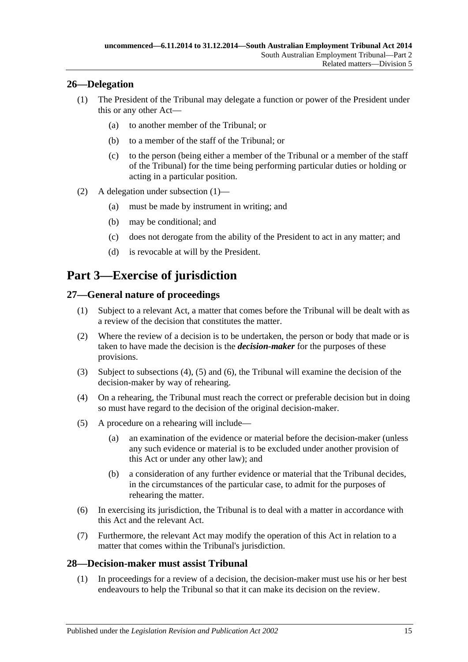## <span id="page-14-5"></span><span id="page-14-0"></span>**26—Delegation**

- (1) The President of the Tribunal may delegate a function or power of the President under this or any other Act—
	- (a) to another member of the Tribunal; or
	- (b) to a member of the staff of the Tribunal; or
	- (c) to the person (being either a member of the Tribunal or a member of the staff of the Tribunal) for the time being performing particular duties or holding or acting in a particular position.
- (2) A delegation under [subsection](#page-14-5) (1)—
	- (a) must be made by instrument in writing; and
	- (b) may be conditional; and
	- (c) does not derogate from the ability of the President to act in any matter; and
	- (d) is revocable at will by the President.

## <span id="page-14-1"></span>**Part 3—Exercise of jurisdiction**

## <span id="page-14-2"></span>**27—General nature of proceedings**

- (1) Subject to a relevant Act, a matter that comes before the Tribunal will be dealt with as a review of the decision that constitutes the matter.
- <span id="page-14-4"></span>(2) Where the review of a decision is to be undertaken, the person or body that made or is taken to have made the decision is the *decision-maker* for the purposes of these provisions.
- (3) Subject to [subsections \(4\),](#page-14-6) [\(5\)](#page-14-7) and [\(6\),](#page-14-8) the Tribunal will examine the decision of the decision-maker by way of rehearing.
- <span id="page-14-6"></span>(4) On a rehearing, the Tribunal must reach the correct or preferable decision but in doing so must have regard to the decision of the original decision-maker.
- <span id="page-14-7"></span>(5) A procedure on a rehearing will include—
	- (a) an examination of the evidence or material before the decision-maker (unless any such evidence or material is to be excluded under another provision of this Act or under any other law); and
	- (b) a consideration of any further evidence or material that the Tribunal decides, in the circumstances of the particular case, to admit for the purposes of rehearing the matter.
- <span id="page-14-8"></span>(6) In exercising its jurisdiction, the Tribunal is to deal with a matter in accordance with this Act and the relevant Act.
- (7) Furthermore, the relevant Act may modify the operation of this Act in relation to a matter that comes within the Tribunal's jurisdiction.

#### <span id="page-14-9"></span><span id="page-14-3"></span>**28—Decision-maker must assist Tribunal**

(1) In proceedings for a review of a decision, the decision-maker must use his or her best endeavours to help the Tribunal so that it can make its decision on the review.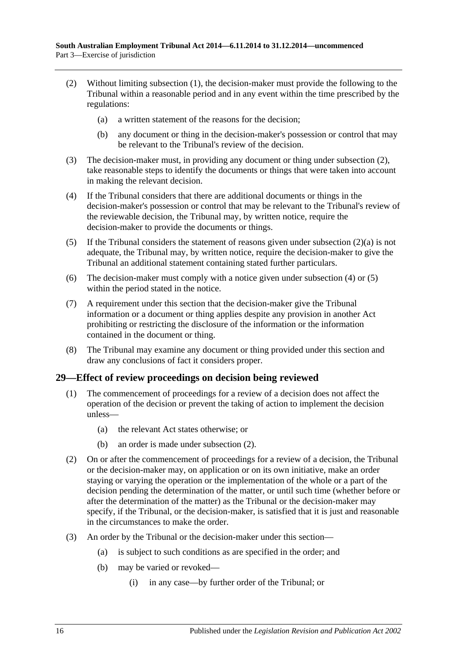- <span id="page-15-2"></span><span id="page-15-1"></span>(2) Without limiting [subsection](#page-14-9) (1), the decision-maker must provide the following to the Tribunal within a reasonable period and in any event within the time prescribed by the regulations:
	- (a) a written statement of the reasons for the decision;
	- (b) any document or thing in the decision-maker's possession or control that may be relevant to the Tribunal's review of the decision.
- (3) The decision-maker must, in providing any document or thing under [subsection](#page-15-1) (2), take reasonable steps to identify the documents or things that were taken into account in making the relevant decision.
- <span id="page-15-3"></span>(4) If the Tribunal considers that there are additional documents or things in the decision-maker's possession or control that may be relevant to the Tribunal's review of the reviewable decision, the Tribunal may, by written notice, require the decision-maker to provide the documents or things.
- <span id="page-15-4"></span>(5) If the Tribunal considers the statement of reasons given under [subsection](#page-15-2)  $(2)(a)$  is not adequate, the Tribunal may, by written notice, require the decision-maker to give the Tribunal an additional statement containing stated further particulars.
- (6) The decision-maker must comply with a notice given under [subsection](#page-15-3) (4) or [\(5\)](#page-15-4) within the period stated in the notice.
- (7) A requirement under this section that the decision-maker give the Tribunal information or a document or thing applies despite any provision in another Act prohibiting or restricting the disclosure of the information or the information contained in the document or thing.
- (8) The Tribunal may examine any document or thing provided under this section and draw any conclusions of fact it considers proper.

#### <span id="page-15-0"></span>**29—Effect of review proceedings on decision being reviewed**

- (1) The commencement of proceedings for a review of a decision does not affect the operation of the decision or prevent the taking of action to implement the decision unless—
	- (a) the relevant Act states otherwise; or
	- (b) an order is made under [subsection](#page-15-5) (2).
- <span id="page-15-5"></span>(2) On or after the commencement of proceedings for a review of a decision, the Tribunal or the decision-maker may, on application or on its own initiative, make an order staying or varying the operation or the implementation of the whole or a part of the decision pending the determination of the matter, or until such time (whether before or after the determination of the matter) as the Tribunal or the decision-maker may specify, if the Tribunal, or the decision-maker, is satisfied that it is just and reasonable in the circumstances to make the order.
- (3) An order by the Tribunal or the decision-maker under this section—
	- (a) is subject to such conditions as are specified in the order; and
	- (b) may be varied or revoked—
		- (i) in any case—by further order of the Tribunal; or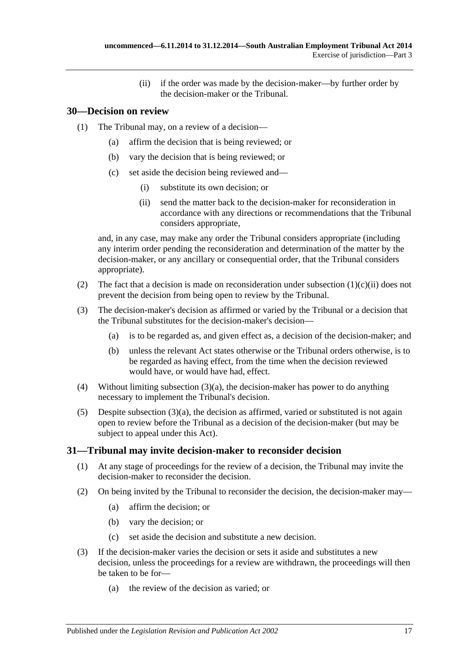(ii) if the order was made by the decision-maker—by further order by the decision-maker or the Tribunal.

## <span id="page-16-0"></span>**30—Decision on review**

- (1) The Tribunal may, on a review of a decision—
	- (a) affirm the decision that is being reviewed; or
	- (b) vary the decision that is being reviewed; or
	- (c) set aside the decision being reviewed and—
		- (i) substitute its own decision; or
		- (ii) send the matter back to the decision-maker for reconsideration in accordance with any directions or recommendations that the Tribunal considers appropriate,

<span id="page-16-2"></span>and, in any case, may make any order the Tribunal considers appropriate (including any interim order pending the reconsideration and determination of the matter by the decision-maker, or any ancillary or consequential order, that the Tribunal considers appropriate).

- (2) The fact that a decision is made on reconsideration under [subsection](#page-16-2)  $(1)(c)(ii)$  does not prevent the decision from being open to review by the Tribunal.
- <span id="page-16-3"></span>(3) The decision-maker's decision as affirmed or varied by the Tribunal or a decision that the Tribunal substitutes for the decision-maker's decision—
	- (a) is to be regarded as, and given effect as, a decision of the decision-maker; and
	- (b) unless the relevant Act states otherwise or the Tribunal orders otherwise, is to be regarded as having effect, from the time when the decision reviewed would have, or would have had, effect.
- (4) Without limiting [subsection](#page-16-3) (3)(a), the decision-maker has power to do anything necessary to implement the Tribunal's decision.
- (5) Despite [subsection](#page-16-3)  $(3)(a)$ , the decision as affirmed, varied or substituted is not again open to review before the Tribunal as a decision of the decision-maker (but may be subject to appeal under this Act).

## <span id="page-16-1"></span>**31—Tribunal may invite decision-maker to reconsider decision**

- (1) At any stage of proceedings for the review of a decision, the Tribunal may invite the decision-maker to reconsider the decision.
- (2) On being invited by the Tribunal to reconsider the decision, the decision-maker may—
	- (a) affirm the decision; or
	- (b) vary the decision; or
	- (c) set aside the decision and substitute a new decision.
- (3) If the decision-maker varies the decision or sets it aside and substitutes a new decision, unless the proceedings for a review are withdrawn, the proceedings will then be taken to be for—
	- (a) the review of the decision as varied; or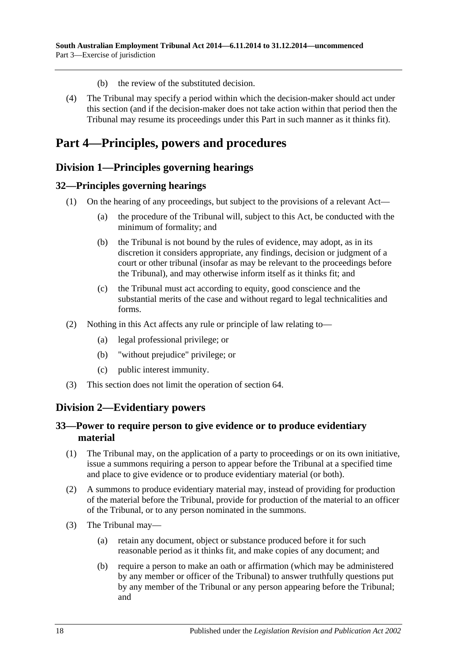- (b) the review of the substituted decision.
- (4) The Tribunal may specify a period within which the decision-maker should act under this section (and if the decision-maker does not take action within that period then the Tribunal may resume its proceedings under this Part in such manner as it thinks fit).

## <span id="page-17-0"></span>**Part 4—Principles, powers and procedures**

## <span id="page-17-1"></span>**Division 1—Principles governing hearings**

#### <span id="page-17-2"></span>**32—Principles governing hearings**

- (1) On the hearing of any proceedings, but subject to the provisions of a relevant Act—
	- (a) the procedure of the Tribunal will, subject to this Act, be conducted with the minimum of formality; and
	- (b) the Tribunal is not bound by the rules of evidence, may adopt, as in its discretion it considers appropriate, any findings, decision or judgment of a court or other tribunal (insofar as may be relevant to the proceedings before the Tribunal), and may otherwise inform itself as it thinks fit; and
	- (c) the Tribunal must act according to equity, good conscience and the substantial merits of the case and without regard to legal technicalities and forms.
- (2) Nothing in this Act affects any rule or principle of law relating to—
	- (a) legal professional privilege; or
	- (b) "without prejudice" privilege; or
	- (c) public interest immunity.
- (3) This section does not limit the operation of [section](#page-31-0) 64.

## <span id="page-17-3"></span>**Division 2—Evidentiary powers**

#### <span id="page-17-4"></span>**33—Power to require person to give evidence or to produce evidentiary material**

- (1) The Tribunal may, on the application of a party to proceedings or on its own initiative, issue a summons requiring a person to appear before the Tribunal at a specified time and place to give evidence or to produce evidentiary material (or both).
- (2) A summons to produce evidentiary material may, instead of providing for production of the material before the Tribunal, provide for production of the material to an officer of the Tribunal, or to any person nominated in the summons.
- (3) The Tribunal may—
	- (a) retain any document, object or substance produced before it for such reasonable period as it thinks fit, and make copies of any document; and
	- (b) require a person to make an oath or affirmation (which may be administered by any member or officer of the Tribunal) to answer truthfully questions put by any member of the Tribunal or any person appearing before the Tribunal; and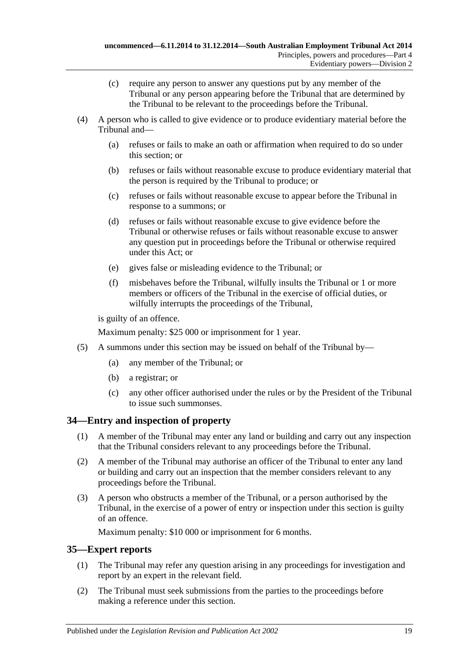- (c) require any person to answer any questions put by any member of the Tribunal or any person appearing before the Tribunal that are determined by the Tribunal to be relevant to the proceedings before the Tribunal.
- (4) A person who is called to give evidence or to produce evidentiary material before the Tribunal and—
	- (a) refuses or fails to make an oath or affirmation when required to do so under this section; or
	- (b) refuses or fails without reasonable excuse to produce evidentiary material that the person is required by the Tribunal to produce; or
	- (c) refuses or fails without reasonable excuse to appear before the Tribunal in response to a summons; or
	- (d) refuses or fails without reasonable excuse to give evidence before the Tribunal or otherwise refuses or fails without reasonable excuse to answer any question put in proceedings before the Tribunal or otherwise required under this Act; or
	- (e) gives false or misleading evidence to the Tribunal; or
	- (f) misbehaves before the Tribunal, wilfully insults the Tribunal or 1 or more members or officers of the Tribunal in the exercise of official duties, or wilfully interrupts the proceedings of the Tribunal,

is guilty of an offence.

Maximum penalty: \$25 000 or imprisonment for 1 year.

- (5) A summons under this section may be issued on behalf of the Tribunal by—
	- (a) any member of the Tribunal; or
	- (b) a registrar; or
	- (c) any other officer authorised under the rules or by the President of the Tribunal to issue such summonses.

## <span id="page-18-0"></span>**34—Entry and inspection of property**

- (1) A member of the Tribunal may enter any land or building and carry out any inspection that the Tribunal considers relevant to any proceedings before the Tribunal.
- (2) A member of the Tribunal may authorise an officer of the Tribunal to enter any land or building and carry out an inspection that the member considers relevant to any proceedings before the Tribunal.
- (3) A person who obstructs a member of the Tribunal, or a person authorised by the Tribunal, in the exercise of a power of entry or inspection under this section is guilty of an offence.

Maximum penalty: \$10 000 or imprisonment for 6 months.

#### <span id="page-18-1"></span>**35—Expert reports**

- (1) The Tribunal may refer any question arising in any proceedings for investigation and report by an expert in the relevant field.
- (2) The Tribunal must seek submissions from the parties to the proceedings before making a reference under this section.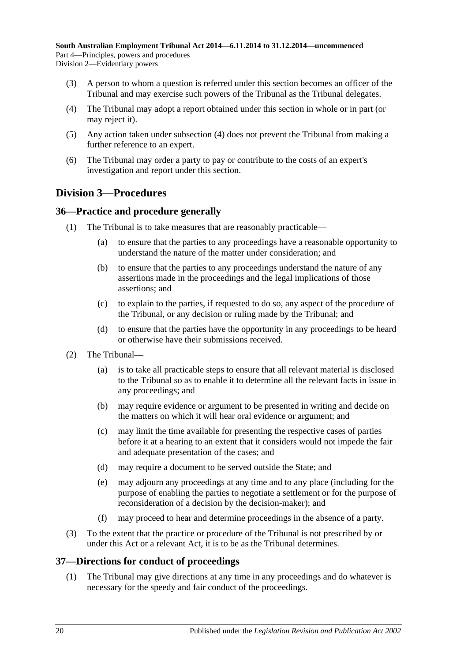- (3) A person to whom a question is referred under this section becomes an officer of the Tribunal and may exercise such powers of the Tribunal as the Tribunal delegates.
- <span id="page-19-3"></span>(4) The Tribunal may adopt a report obtained under this section in whole or in part (or may reject it).
- (5) Any action taken under [subsection](#page-19-3) (4) does not prevent the Tribunal from making a further reference to an expert.
- (6) The Tribunal may order a party to pay or contribute to the costs of an expert's investigation and report under this section.

## <span id="page-19-0"></span>**Division 3—Procedures**

## <span id="page-19-1"></span>**36—Practice and procedure generally**

- (1) The Tribunal is to take measures that are reasonably practicable—
	- (a) to ensure that the parties to any proceedings have a reasonable opportunity to understand the nature of the matter under consideration; and
	- (b) to ensure that the parties to any proceedings understand the nature of any assertions made in the proceedings and the legal implications of those assertions; and
	- (c) to explain to the parties, if requested to do so, any aspect of the procedure of the Tribunal, or any decision or ruling made by the Tribunal; and
	- (d) to ensure that the parties have the opportunity in any proceedings to be heard or otherwise have their submissions received.
- (2) The Tribunal—
	- (a) is to take all practicable steps to ensure that all relevant material is disclosed to the Tribunal so as to enable it to determine all the relevant facts in issue in any proceedings; and
	- (b) may require evidence or argument to be presented in writing and decide on the matters on which it will hear oral evidence or argument; and
	- (c) may limit the time available for presenting the respective cases of parties before it at a hearing to an extent that it considers would not impede the fair and adequate presentation of the cases; and
	- (d) may require a document to be served outside the State; and
	- (e) may adjourn any proceedings at any time and to any place (including for the purpose of enabling the parties to negotiate a settlement or for the purpose of reconsideration of a decision by the decision-maker); and
	- (f) may proceed to hear and determine proceedings in the absence of a party.
- (3) To the extent that the practice or procedure of the Tribunal is not prescribed by or under this Act or a relevant Act, it is to be as the Tribunal determines.

#### <span id="page-19-2"></span>**37—Directions for conduct of proceedings**

(1) The Tribunal may give directions at any time in any proceedings and do whatever is necessary for the speedy and fair conduct of the proceedings.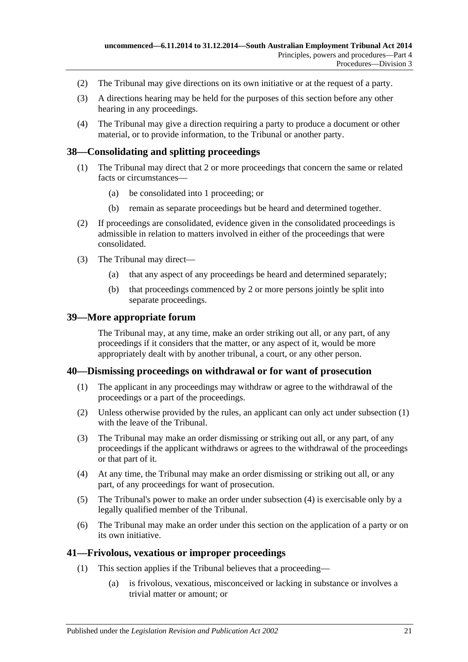- (2) The Tribunal may give directions on its own initiative or at the request of a party.
- (3) A directions hearing may be held for the purposes of this section before any other hearing in any proceedings.
- (4) The Tribunal may give a direction requiring a party to produce a document or other material, or to provide information, to the Tribunal or another party.

#### <span id="page-20-0"></span>**38—Consolidating and splitting proceedings**

- (1) The Tribunal may direct that 2 or more proceedings that concern the same or related facts or circumstances—
	- (a) be consolidated into 1 proceeding; or
	- (b) remain as separate proceedings but be heard and determined together.
- (2) If proceedings are consolidated, evidence given in the consolidated proceedings is admissible in relation to matters involved in either of the proceedings that were consolidated.
- (3) The Tribunal may direct—
	- (a) that any aspect of any proceedings be heard and determined separately;
	- (b) that proceedings commenced by 2 or more persons jointly be split into separate proceedings.

#### <span id="page-20-1"></span>**39—More appropriate forum**

The Tribunal may, at any time, make an order striking out all, or any part, of any proceedings if it considers that the matter, or any aspect of it, would be more appropriately dealt with by another tribunal, a court, or any other person.

#### <span id="page-20-4"></span><span id="page-20-2"></span>**40—Dismissing proceedings on withdrawal or for want of prosecution**

- (1) The applicant in any proceedings may withdraw or agree to the withdrawal of the proceedings or a part of the proceedings.
- (2) Unless otherwise provided by the rules, an applicant can only act under [subsection](#page-20-4) (1) with the leave of the Tribunal.
- (3) The Tribunal may make an order dismissing or striking out all, or any part, of any proceedings if the applicant withdraws or agrees to the withdrawal of the proceedings or that part of it.
- <span id="page-20-5"></span>(4) At any time, the Tribunal may make an order dismissing or striking out all, or any part, of any proceedings for want of prosecution.
- (5) The Tribunal's power to make an order under [subsection](#page-20-5) (4) is exercisable only by a legally qualified member of the Tribunal.
- (6) The Tribunal may make an order under this section on the application of a party or on its own initiative.

#### <span id="page-20-3"></span>**41—Frivolous, vexatious or improper proceedings**

- (1) This section applies if the Tribunal believes that a proceeding—
	- (a) is frivolous, vexatious, misconceived or lacking in substance or involves a trivial matter or amount; or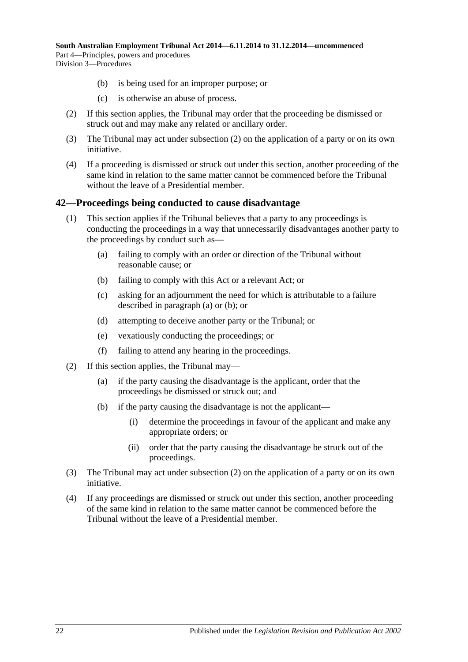- (b) is being used for an improper purpose; or
- (c) is otherwise an abuse of process.
- <span id="page-21-1"></span>(2) If this section applies, the Tribunal may order that the proceeding be dismissed or struck out and may make any related or ancillary order.
- (3) The Tribunal may act under [subsection](#page-21-1) (2) on the application of a party or on its own initiative.
- (4) If a proceeding is dismissed or struck out under this section, another proceeding of the same kind in relation to the same matter cannot be commenced before the Tribunal without the leave of a Presidential member.

#### <span id="page-21-0"></span>**42—Proceedings being conducted to cause disadvantage**

- <span id="page-21-3"></span><span id="page-21-2"></span>(1) This section applies if the Tribunal believes that a party to any proceedings is conducting the proceedings in a way that unnecessarily disadvantages another party to the proceedings by conduct such as—
	- (a) failing to comply with an order or direction of the Tribunal without reasonable cause; or
	- (b) failing to comply with this Act or a relevant Act; or
	- (c) asking for an adjournment the need for which is attributable to a failure described in [paragraph](#page-21-2) (a) or [\(b\);](#page-21-3) or
	- (d) attempting to deceive another party or the Tribunal; or
	- (e) vexatiously conducting the proceedings; or
	- (f) failing to attend any hearing in the proceedings.
- <span id="page-21-4"></span>(2) If this section applies, the Tribunal may—
	- (a) if the party causing the disadvantage is the applicant, order that the proceedings be dismissed or struck out; and
	- (b) if the party causing the disadvantage is not the applicant—
		- (i) determine the proceedings in favour of the applicant and make any appropriate orders; or
		- (ii) order that the party causing the disadvantage be struck out of the proceedings.
- (3) The Tribunal may act under [subsection](#page-21-4) (2) on the application of a party or on its own initiative.
- (4) If any proceedings are dismissed or struck out under this section, another proceeding of the same kind in relation to the same matter cannot be commenced before the Tribunal without the leave of a Presidential member.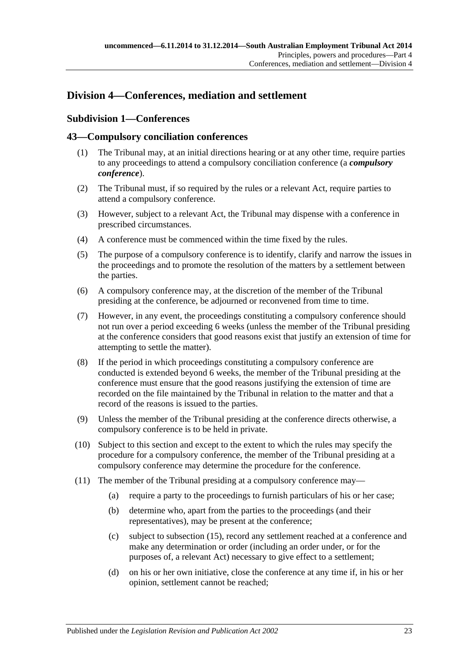## <span id="page-22-1"></span><span id="page-22-0"></span>**Division 4—Conferences, mediation and settlement**

## **Subdivision 1—Conferences**

#### <span id="page-22-2"></span>**43—Compulsory conciliation conferences**

- (1) The Tribunal may, at an initial directions hearing or at any other time, require parties to any proceedings to attend a compulsory conciliation conference (a *compulsory conference*).
- (2) The Tribunal must, if so required by the rules or a relevant Act, require parties to attend a compulsory conference.
- (3) However, subject to a relevant Act, the Tribunal may dispense with a conference in prescribed circumstances.
- (4) A conference must be commenced within the time fixed by the rules.
- (5) The purpose of a compulsory conference is to identify, clarify and narrow the issues in the proceedings and to promote the resolution of the matters by a settlement between the parties.
- (6) A compulsory conference may, at the discretion of the member of the Tribunal presiding at the conference, be adjourned or reconvened from time to time.
- (7) However, in any event, the proceedings constituting a compulsory conference should not run over a period exceeding 6 weeks (unless the member of the Tribunal presiding at the conference considers that good reasons exist that justify an extension of time for attempting to settle the matter).
- (8) If the period in which proceedings constituting a compulsory conference are conducted is extended beyond 6 weeks, the member of the Tribunal presiding at the conference must ensure that the good reasons justifying the extension of time are recorded on the file maintained by the Tribunal in relation to the matter and that a record of the reasons is issued to the parties.
- (9) Unless the member of the Tribunal presiding at the conference directs otherwise, a compulsory conference is to be held in private.
- (10) Subject to this section and except to the extent to which the rules may specify the procedure for a compulsory conference, the member of the Tribunal presiding at a compulsory conference may determine the procedure for the conference.
- (11) The member of the Tribunal presiding at a compulsory conference may—
	- (a) require a party to the proceedings to furnish particulars of his or her case;
	- (b) determine who, apart from the parties to the proceedings (and their representatives), may be present at the conference;
	- (c) subject to [subsection](#page-23-1) (15), record any settlement reached at a conference and make any determination or order (including an order under, or for the purposes of, a relevant Act) necessary to give effect to a settlement;
	- (d) on his or her own initiative, close the conference at any time if, in his or her opinion, settlement cannot be reached;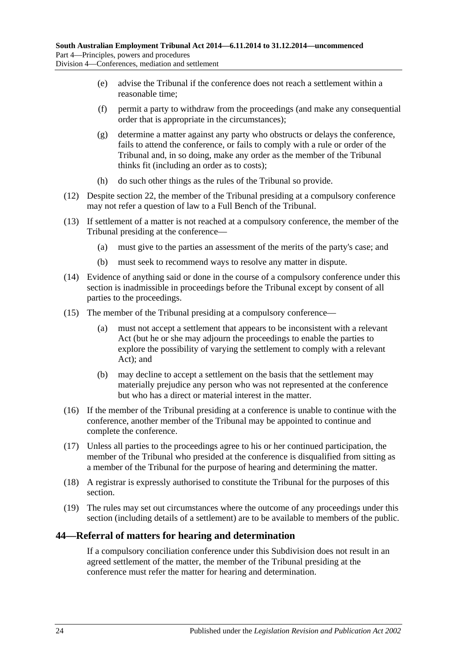- (e) advise the Tribunal if the conference does not reach a settlement within a reasonable time;
- (f) permit a party to withdraw from the proceedings (and make any consequential order that is appropriate in the circumstances);
- (g) determine a matter against any party who obstructs or delays the conference, fails to attend the conference, or fails to comply with a rule or order of the Tribunal and, in so doing, make any order as the member of the Tribunal thinks fit (including an order as to costs);
- (h) do such other things as the rules of the Tribunal so provide.
- (12) Despite [section](#page-13-0) 22, the member of the Tribunal presiding at a compulsory conference may not refer a question of law to a Full Bench of the Tribunal.
- (13) If settlement of a matter is not reached at a compulsory conference, the member of the Tribunal presiding at the conference—
	- (a) must give to the parties an assessment of the merits of the party's case; and
	- (b) must seek to recommend ways to resolve any matter in dispute.
- (14) Evidence of anything said or done in the course of a compulsory conference under this section is inadmissible in proceedings before the Tribunal except by consent of all parties to the proceedings.
- <span id="page-23-1"></span>(15) The member of the Tribunal presiding at a compulsory conference—
	- (a) must not accept a settlement that appears to be inconsistent with a relevant Act (but he or she may adjourn the proceedings to enable the parties to explore the possibility of varying the settlement to comply with a relevant Act); and
	- (b) may decline to accept a settlement on the basis that the settlement may materially prejudice any person who was not represented at the conference but who has a direct or material interest in the matter.
- (16) If the member of the Tribunal presiding at a conference is unable to continue with the conference, another member of the Tribunal may be appointed to continue and complete the conference.
- (17) Unless all parties to the proceedings agree to his or her continued participation, the member of the Tribunal who presided at the conference is disqualified from sitting as a member of the Tribunal for the purpose of hearing and determining the matter.
- (18) A registrar is expressly authorised to constitute the Tribunal for the purposes of this section.
- (19) The rules may set out circumstances where the outcome of any proceedings under this section (including details of a settlement) are to be available to members of the public.

#### <span id="page-23-0"></span>**44—Referral of matters for hearing and determination**

If a compulsory conciliation conference under this Subdivision does not result in an agreed settlement of the matter, the member of the Tribunal presiding at the conference must refer the matter for hearing and determination.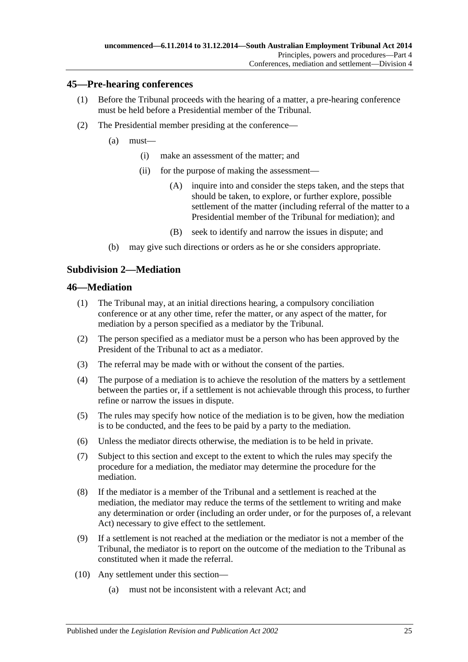#### <span id="page-24-0"></span>**45—Pre-hearing conferences**

- (1) Before the Tribunal proceeds with the hearing of a matter, a pre-hearing conference must be held before a Presidential member of the Tribunal.
- (2) The Presidential member presiding at the conference—
	- (a) must—
		- (i) make an assessment of the matter; and
		- (ii) for the purpose of making the assessment—
			- (A) inquire into and consider the steps taken, and the steps that should be taken, to explore, or further explore, possible settlement of the matter (including referral of the matter to a Presidential member of the Tribunal for mediation); and
			- (B) seek to identify and narrow the issues in dispute; and
	- (b) may give such directions or orders as he or she considers appropriate.

## <span id="page-24-1"></span>**Subdivision 2—Mediation**

#### <span id="page-24-2"></span>**46—Mediation**

- (1) The Tribunal may, at an initial directions hearing, a compulsory conciliation conference or at any other time, refer the matter, or any aspect of the matter, for mediation by a person specified as a mediator by the Tribunal.
- (2) The person specified as a mediator must be a person who has been approved by the President of the Tribunal to act as a mediator.
- (3) The referral may be made with or without the consent of the parties.
- (4) The purpose of a mediation is to achieve the resolution of the matters by a settlement between the parties or, if a settlement is not achievable through this process, to further refine or narrow the issues in dispute.
- (5) The rules may specify how notice of the mediation is to be given, how the mediation is to be conducted, and the fees to be paid by a party to the mediation.
- (6) Unless the mediator directs otherwise, the mediation is to be held in private.
- (7) Subject to this section and except to the extent to which the rules may specify the procedure for a mediation, the mediator may determine the procedure for the mediation.
- (8) If the mediator is a member of the Tribunal and a settlement is reached at the mediation, the mediator may reduce the terms of the settlement to writing and make any determination or order (including an order under, or for the purposes of, a relevant Act) necessary to give effect to the settlement.
- (9) If a settlement is not reached at the mediation or the mediator is not a member of the Tribunal, the mediator is to report on the outcome of the mediation to the Tribunal as constituted when it made the referral.
- (10) Any settlement under this section—
	- (a) must not be inconsistent with a relevant Act; and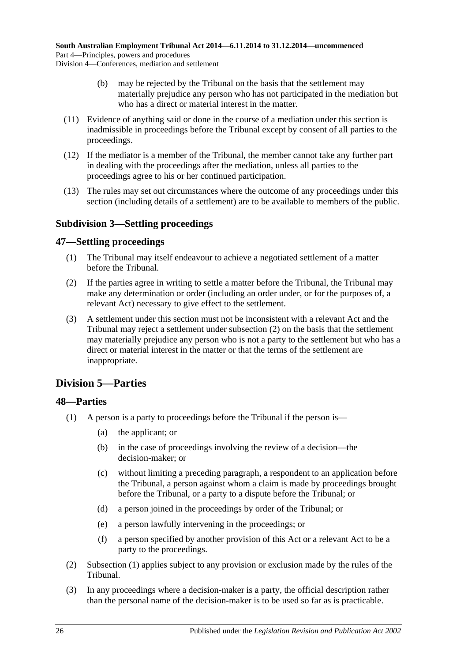- (b) may be rejected by the Tribunal on the basis that the settlement may materially prejudice any person who has not participated in the mediation but who has a direct or material interest in the matter.
- (11) Evidence of anything said or done in the course of a mediation under this section is inadmissible in proceedings before the Tribunal except by consent of all parties to the proceedings.
- (12) If the mediator is a member of the Tribunal, the member cannot take any further part in dealing with the proceedings after the mediation, unless all parties to the proceedings agree to his or her continued participation.
- (13) The rules may set out circumstances where the outcome of any proceedings under this section (including details of a settlement) are to be available to members of the public.

## <span id="page-25-0"></span>**Subdivision 3—Settling proceedings**

## <span id="page-25-1"></span>**47—Settling proceedings**

- (1) The Tribunal may itself endeavour to achieve a negotiated settlement of a matter before the Tribunal.
- <span id="page-25-4"></span>(2) If the parties agree in writing to settle a matter before the Tribunal, the Tribunal may make any determination or order (including an order under, or for the purposes of, a relevant Act) necessary to give effect to the settlement.
- (3) A settlement under this section must not be inconsistent with a relevant Act and the Tribunal may reject a settlement under [subsection](#page-25-4) (2) on the basis that the settlement may materially prejudice any person who is not a party to the settlement but who has a direct or material interest in the matter or that the terms of the settlement are inappropriate.

## <span id="page-25-2"></span>**Division 5—Parties**

## <span id="page-25-5"></span><span id="page-25-3"></span>**48—Parties**

- (1) A person is a party to proceedings before the Tribunal if the person is—
	- (a) the applicant; or
	- (b) in the case of proceedings involving the review of a decision—the decision-maker; or
	- (c) without limiting a preceding paragraph, a respondent to an application before the Tribunal, a person against whom a claim is made by proceedings brought before the Tribunal, or a party to a dispute before the Tribunal; or
	- (d) a person joined in the proceedings by order of the Tribunal; or
	- (e) a person lawfully intervening in the proceedings; or
	- (f) a person specified by another provision of this Act or a relevant Act to be a party to the proceedings.
- (2) [Subsection](#page-25-5) (1) applies subject to any provision or exclusion made by the rules of the Tribunal.
- (3) In any proceedings where a decision-maker is a party, the official description rather than the personal name of the decision-maker is to be used so far as is practicable.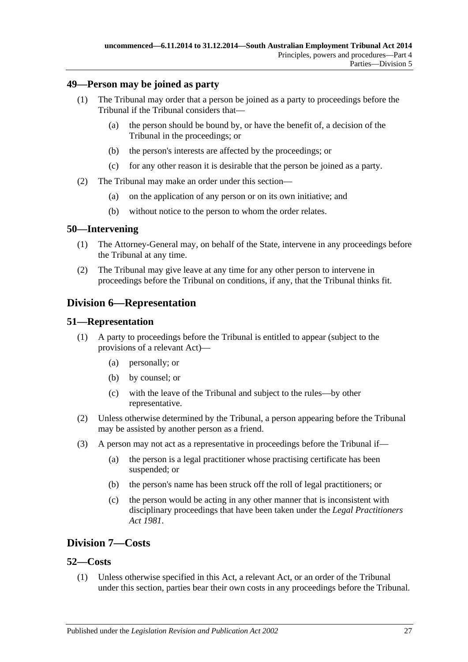#### <span id="page-26-0"></span>**49—Person may be joined as party**

- (1) The Tribunal may order that a person be joined as a party to proceedings before the Tribunal if the Tribunal considers that—
	- (a) the person should be bound by, or have the benefit of, a decision of the Tribunal in the proceedings; or
	- (b) the person's interests are affected by the proceedings; or
	- (c) for any other reason it is desirable that the person be joined as a party.
- (2) The Tribunal may make an order under this section—
	- (a) on the application of any person or on its own initiative; and
	- (b) without notice to the person to whom the order relates.

#### <span id="page-26-1"></span>**50—Intervening**

- (1) The Attorney-General may, on behalf of the State, intervene in any proceedings before the Tribunal at any time.
- (2) The Tribunal may give leave at any time for any other person to intervene in proceedings before the Tribunal on conditions, if any, that the Tribunal thinks fit.

## <span id="page-26-2"></span>**Division 6—Representation**

#### <span id="page-26-3"></span>**51—Representation**

- (1) A party to proceedings before the Tribunal is entitled to appear (subject to the provisions of a relevant Act)—
	- (a) personally; or
	- (b) by counsel; or
	- (c) with the leave of the Tribunal and subject to the rules—by other representative.
- (2) Unless otherwise determined by the Tribunal, a person appearing before the Tribunal may be assisted by another person as a friend.
- (3) A person may not act as a representative in proceedings before the Tribunal if—
	- (a) the person is a legal practitioner whose practising certificate has been suspended; or
	- (b) the person's name has been struck off the roll of legal practitioners; or
	- (c) the person would be acting in any other manner that is inconsistent with disciplinary proceedings that have been taken under the *[Legal Practitioners](http://www.legislation.sa.gov.au/index.aspx?action=legref&type=act&legtitle=Legal%20Practitioners%20Act%201981)  Act [1981](http://www.legislation.sa.gov.au/index.aspx?action=legref&type=act&legtitle=Legal%20Practitioners%20Act%201981)*.

## <span id="page-26-4"></span>**Division 7—Costs**

#### <span id="page-26-5"></span>**52—Costs**

(1) Unless otherwise specified in this Act, a relevant Act, or an order of the Tribunal under this section, parties bear their own costs in any proceedings before the Tribunal.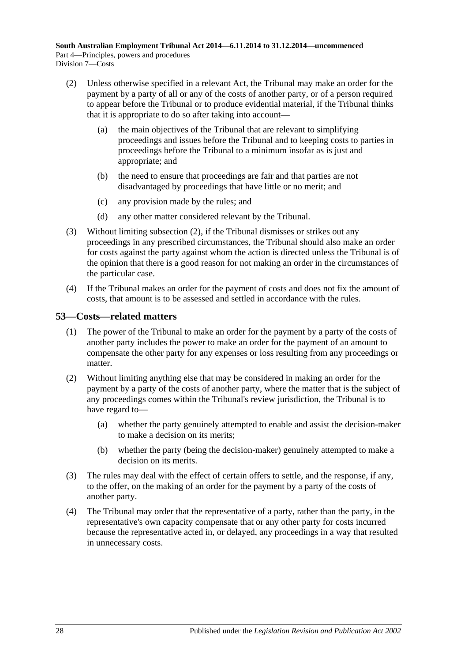- <span id="page-27-1"></span>(2) Unless otherwise specified in a relevant Act, the Tribunal may make an order for the payment by a party of all or any of the costs of another party, or of a person required to appear before the Tribunal or to produce evidential material, if the Tribunal thinks that it is appropriate to do so after taking into account—
	- (a) the main objectives of the Tribunal that are relevant to simplifying proceedings and issues before the Tribunal and to keeping costs to parties in proceedings before the Tribunal to a minimum insofar as is just and appropriate; and
	- (b) the need to ensure that proceedings are fair and that parties are not disadvantaged by proceedings that have little or no merit; and
	- (c) any provision made by the rules; and
	- (d) any other matter considered relevant by the Tribunal.
- (3) Without limiting [subsection](#page-27-1) (2), if the Tribunal dismisses or strikes out any proceedings in any prescribed circumstances, the Tribunal should also make an order for costs against the party against whom the action is directed unless the Tribunal is of the opinion that there is a good reason for not making an order in the circumstances of the particular case.
- (4) If the Tribunal makes an order for the payment of costs and does not fix the amount of costs, that amount is to be assessed and settled in accordance with the rules.

## <span id="page-27-0"></span>**53—Costs—related matters**

- (1) The power of the Tribunal to make an order for the payment by a party of the costs of another party includes the power to make an order for the payment of an amount to compensate the other party for any expenses or loss resulting from any proceedings or matter.
- (2) Without limiting anything else that may be considered in making an order for the payment by a party of the costs of another party, where the matter that is the subject of any proceedings comes within the Tribunal's review jurisdiction, the Tribunal is to have regard to—
	- (a) whether the party genuinely attempted to enable and assist the decision-maker to make a decision on its merits;
	- (b) whether the party (being the decision-maker) genuinely attempted to make a decision on its merits.
- (3) The rules may deal with the effect of certain offers to settle, and the response, if any, to the offer, on the making of an order for the payment by a party of the costs of another party.
- (4) The Tribunal may order that the representative of a party, rather than the party, in the representative's own capacity compensate that or any other party for costs incurred because the representative acted in, or delayed, any proceedings in a way that resulted in unnecessary costs.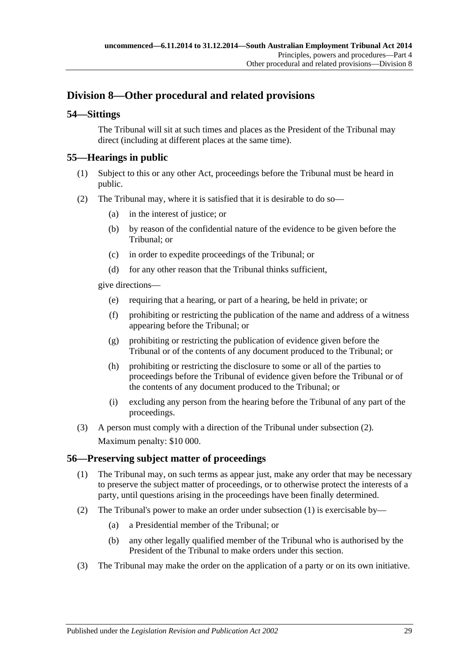## <span id="page-28-0"></span>**Division 8—Other procedural and related provisions**

## <span id="page-28-1"></span>**54—Sittings**

The Tribunal will sit at such times and places as the President of the Tribunal may direct (including at different places at the same time).

## <span id="page-28-2"></span>**55—Hearings in public**

- (1) Subject to this or any other Act, proceedings before the Tribunal must be heard in public.
- <span id="page-28-4"></span>(2) The Tribunal may, where it is satisfied that it is desirable to do so—
	- (a) in the interest of justice; or
	- (b) by reason of the confidential nature of the evidence to be given before the Tribunal; or
	- (c) in order to expedite proceedings of the Tribunal; or
	- (d) for any other reason that the Tribunal thinks sufficient,

give directions—

- (e) requiring that a hearing, or part of a hearing, be held in private; or
- (f) prohibiting or restricting the publication of the name and address of a witness appearing before the Tribunal; or
- (g) prohibiting or restricting the publication of evidence given before the Tribunal or of the contents of any document produced to the Tribunal; or
- (h) prohibiting or restricting the disclosure to some or all of the parties to proceedings before the Tribunal of evidence given before the Tribunal or of the contents of any document produced to the Tribunal; or
- (i) excluding any person from the hearing before the Tribunal of any part of the proceedings.
- (3) A person must comply with a direction of the Tribunal under [subsection](#page-28-4) (2). Maximum penalty: \$10 000.

#### <span id="page-28-5"></span><span id="page-28-3"></span>**56—Preserving subject matter of proceedings**

- (1) The Tribunal may, on such terms as appear just, make any order that may be necessary to preserve the subject matter of proceedings, or to otherwise protect the interests of a party, until questions arising in the proceedings have been finally determined.
- (2) The Tribunal's power to make an order under [subsection](#page-28-5) (1) is exercisable by—
	- (a) a Presidential member of the Tribunal; or
	- (b) any other legally qualified member of the Tribunal who is authorised by the President of the Tribunal to make orders under this section.
- (3) The Tribunal may make the order on the application of a party or on its own initiative.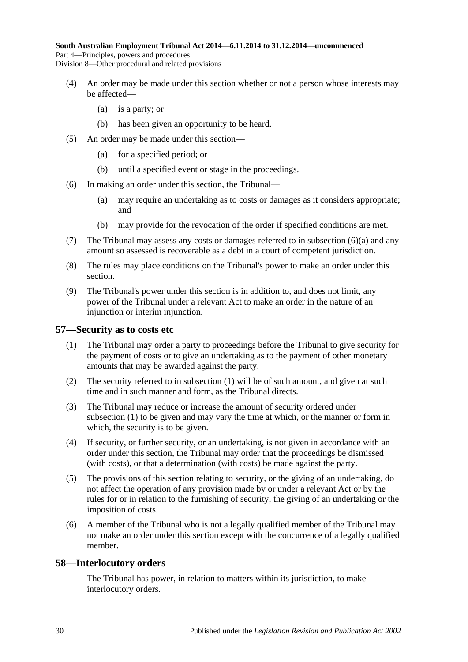- (4) An order may be made under this section whether or not a person whose interests may be affected—
	- (a) is a party; or
	- (b) has been given an opportunity to be heard.
- (5) An order may be made under this section—
	- (a) for a specified period; or
	- (b) until a specified event or stage in the proceedings.
- <span id="page-29-2"></span>(6) In making an order under this section, the Tribunal—
	- (a) may require an undertaking as to costs or damages as it considers appropriate; and
	- (b) may provide for the revocation of the order if specified conditions are met.
- (7) The Tribunal may assess any costs or damages referred to in [subsection](#page-29-2) (6)(a) and any amount so assessed is recoverable as a debt in a court of competent jurisdiction.
- (8) The rules may place conditions on the Tribunal's power to make an order under this section.
- (9) The Tribunal's power under this section is in addition to, and does not limit, any power of the Tribunal under a relevant Act to make an order in the nature of an injunction or interim injunction.

#### <span id="page-29-3"></span><span id="page-29-0"></span>**57—Security as to costs etc**

- (1) The Tribunal may order a party to proceedings before the Tribunal to give security for the payment of costs or to give an undertaking as to the payment of other monetary amounts that may be awarded against the party.
- (2) The security referred to in [subsection](#page-29-3) (1) will be of such amount, and given at such time and in such manner and form, as the Tribunal directs.
- (3) The Tribunal may reduce or increase the amount of security ordered under [subsection](#page-29-3) (1) to be given and may vary the time at which, or the manner or form in which, the security is to be given.
- (4) If security, or further security, or an undertaking, is not given in accordance with an order under this section, the Tribunal may order that the proceedings be dismissed (with costs), or that a determination (with costs) be made against the party.
- (5) The provisions of this section relating to security, or the giving of an undertaking, do not affect the operation of any provision made by or under a relevant Act or by the rules for or in relation to the furnishing of security, the giving of an undertaking or the imposition of costs.
- (6) A member of the Tribunal who is not a legally qualified member of the Tribunal may not make an order under this section except with the concurrence of a legally qualified member.

#### <span id="page-29-1"></span>**58—Interlocutory orders**

The Tribunal has power, in relation to matters within its jurisdiction, to make interlocutory orders.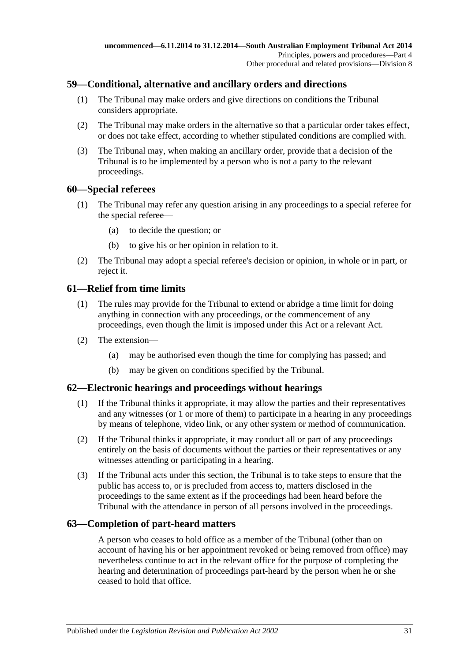## <span id="page-30-0"></span>**59—Conditional, alternative and ancillary orders and directions**

- (1) The Tribunal may make orders and give directions on conditions the Tribunal considers appropriate.
- (2) The Tribunal may make orders in the alternative so that a particular order takes effect, or does not take effect, according to whether stipulated conditions are complied with.
- (3) The Tribunal may, when making an ancillary order, provide that a decision of the Tribunal is to be implemented by a person who is not a party to the relevant proceedings.

#### <span id="page-30-1"></span>**60—Special referees**

- (1) The Tribunal may refer any question arising in any proceedings to a special referee for the special referee—
	- (a) to decide the question; or
	- (b) to give his or her opinion in relation to it.
- (2) The Tribunal may adopt a special referee's decision or opinion, in whole or in part, or reject it.

## <span id="page-30-2"></span>**61—Relief from time limits**

- (1) The rules may provide for the Tribunal to extend or abridge a time limit for doing anything in connection with any proceedings, or the commencement of any proceedings, even though the limit is imposed under this Act or a relevant Act.
- (2) The extension—
	- (a) may be authorised even though the time for complying has passed; and
	- (b) may be given on conditions specified by the Tribunal.

#### <span id="page-30-3"></span>**62—Electronic hearings and proceedings without hearings**

- (1) If the Tribunal thinks it appropriate, it may allow the parties and their representatives and any witnesses (or 1 or more of them) to participate in a hearing in any proceedings by means of telephone, video link, or any other system or method of communication.
- (2) If the Tribunal thinks it appropriate, it may conduct all or part of any proceedings entirely on the basis of documents without the parties or their representatives or any witnesses attending or participating in a hearing.
- (3) If the Tribunal acts under this section, the Tribunal is to take steps to ensure that the public has access to, or is precluded from access to, matters disclosed in the proceedings to the same extent as if the proceedings had been heard before the Tribunal with the attendance in person of all persons involved in the proceedings.

#### <span id="page-30-4"></span>**63—Completion of part-heard matters**

A person who ceases to hold office as a member of the Tribunal (other than on account of having his or her appointment revoked or being removed from office) may nevertheless continue to act in the relevant office for the purpose of completing the hearing and determination of proceedings part-heard by the person when he or she ceased to hold that office.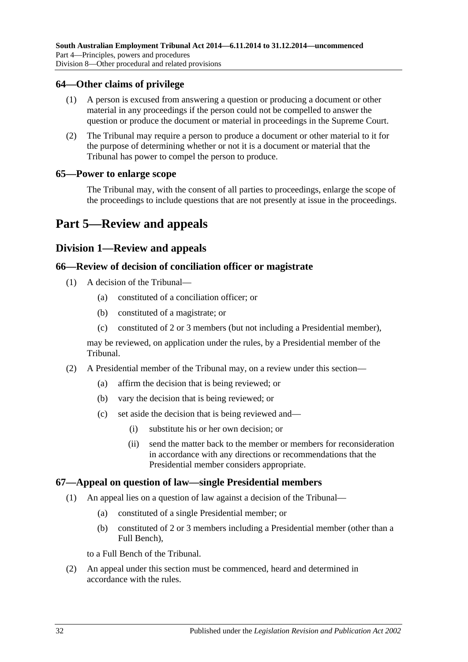#### <span id="page-31-0"></span>**64—Other claims of privilege**

- (1) A person is excused from answering a question or producing a document or other material in any proceedings if the person could not be compelled to answer the question or produce the document or material in proceedings in the Supreme Court.
- (2) The Tribunal may require a person to produce a document or other material to it for the purpose of determining whether or not it is a document or material that the Tribunal has power to compel the person to produce.

#### <span id="page-31-1"></span>**65—Power to enlarge scope**

The Tribunal may, with the consent of all parties to proceedings, enlarge the scope of the proceedings to include questions that are not presently at issue in the proceedings.

## <span id="page-31-3"></span><span id="page-31-2"></span>**Part 5—Review and appeals**

## **Division 1—Review and appeals**

#### <span id="page-31-4"></span>**66—Review of decision of conciliation officer or magistrate**

- (1) A decision of the Tribunal—
	- (a) constituted of a conciliation officer; or
	- (b) constituted of a magistrate; or
	- (c) constituted of 2 or 3 members (but not including a Presidential member),

may be reviewed, on application under the rules, by a Presidential member of the Tribunal.

- (2) A Presidential member of the Tribunal may, on a review under this section—
	- (a) affirm the decision that is being reviewed; or
	- (b) vary the decision that is being reviewed; or
	- (c) set aside the decision that is being reviewed and—
		- (i) substitute his or her own decision; or
		- (ii) send the matter back to the member or members for reconsideration in accordance with any directions or recommendations that the Presidential member considers appropriate.

#### <span id="page-31-5"></span>**67—Appeal on question of law—single Presidential members**

- (1) An appeal lies on a question of law against a decision of the Tribunal—
	- (a) constituted of a single Presidential member; or
	- (b) constituted of 2 or 3 members including a Presidential member (other than a Full Bench),

to a Full Bench of the Tribunal.

(2) An appeal under this section must be commenced, heard and determined in accordance with the rules.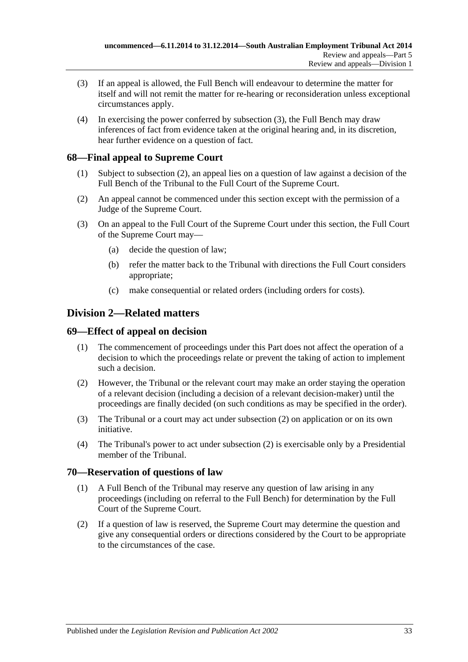- <span id="page-32-4"></span>(3) If an appeal is allowed, the Full Bench will endeavour to determine the matter for itself and will not remit the matter for re-hearing or reconsideration unless exceptional circumstances apply.
- (4) In exercising the power conferred by [subsection](#page-32-4) (3), the Full Bench may draw inferences of fact from evidence taken at the original hearing and, in its discretion, hear further evidence on a question of fact.

## <span id="page-32-0"></span>**68—Final appeal to Supreme Court**

- (1) Subject to [subsection](#page-32-5) (2), an appeal lies on a question of law against a decision of the Full Bench of the Tribunal to the Full Court of the Supreme Court.
- <span id="page-32-5"></span>(2) An appeal cannot be commenced under this section except with the permission of a Judge of the Supreme Court.
- (3) On an appeal to the Full Court of the Supreme Court under this section, the Full Court of the Supreme Court may—
	- (a) decide the question of law;
	- (b) refer the matter back to the Tribunal with directions the Full Court considers appropriate;
	- (c) make consequential or related orders (including orders for costs).

## <span id="page-32-1"></span>**Division 2—Related matters**

#### <span id="page-32-2"></span>**69—Effect of appeal on decision**

- (1) The commencement of proceedings under this Part does not affect the operation of a decision to which the proceedings relate or prevent the taking of action to implement such a decision.
- <span id="page-32-6"></span>(2) However, the Tribunal or the relevant court may make an order staying the operation of a relevant decision (including a decision of a relevant decision-maker) until the proceedings are finally decided (on such conditions as may be specified in the order).
- (3) The Tribunal or a court may act under [subsection](#page-32-6) (2) on application or on its own initiative.
- (4) The Tribunal's power to act under [subsection](#page-32-6) (2) is exercisable only by a Presidential member of the Tribunal.

#### <span id="page-32-3"></span>**70—Reservation of questions of law**

- (1) A Full Bench of the Tribunal may reserve any question of law arising in any proceedings (including on referral to the Full Bench) for determination by the Full Court of the Supreme Court.
- (2) If a question of law is reserved, the Supreme Court may determine the question and give any consequential orders or directions considered by the Court to be appropriate to the circumstances of the case.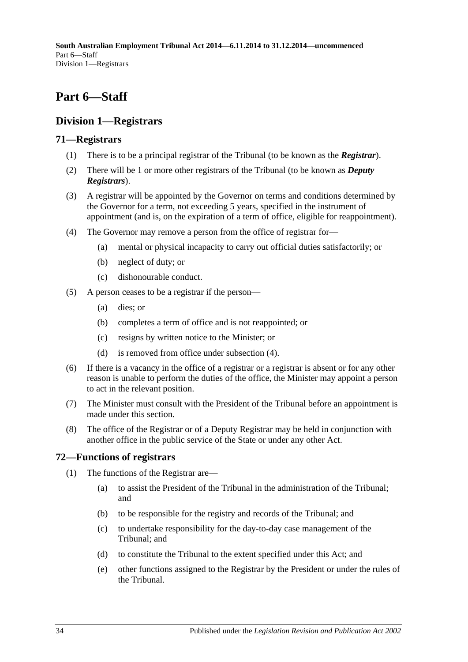## <span id="page-33-0"></span>**Part 6—Staff**

## <span id="page-33-1"></span>**Division 1—Registrars**

## <span id="page-33-2"></span>**71—Registrars**

- (1) There is to be a principal registrar of the Tribunal (to be known as the *Registrar*).
- (2) There will be 1 or more other registrars of the Tribunal (to be known as *Deputy Registrars*).
- (3) A registrar will be appointed by the Governor on terms and conditions determined by the Governor for a term, not exceeding 5 years, specified in the instrument of appointment (and is, on the expiration of a term of office, eligible for reappointment).
- <span id="page-33-4"></span>(4) The Governor may remove a person from the office of registrar for—
	- (a) mental or physical incapacity to carry out official duties satisfactorily; or
	- (b) neglect of duty; or
	- (c) dishonourable conduct.
- (5) A person ceases to be a registrar if the person—
	- (a) dies; or
	- (b) completes a term of office and is not reappointed; or
	- (c) resigns by written notice to the Minister; or
	- (d) is removed from office under [subsection](#page-33-4) (4).
- (6) If there is a vacancy in the office of a registrar or a registrar is absent or for any other reason is unable to perform the duties of the office, the Minister may appoint a person to act in the relevant position.
- (7) The Minister must consult with the President of the Tribunal before an appointment is made under this section.
- (8) The office of the Registrar or of a Deputy Registrar may be held in conjunction with another office in the public service of the State or under any other Act.

## <span id="page-33-3"></span>**72—Functions of registrars**

- (1) The functions of the Registrar are—
	- (a) to assist the President of the Tribunal in the administration of the Tribunal; and
	- (b) to be responsible for the registry and records of the Tribunal; and
	- (c) to undertake responsibility for the day-to-day case management of the Tribunal; and
	- (d) to constitute the Tribunal to the extent specified under this Act; and
	- (e) other functions assigned to the Registrar by the President or under the rules of the Tribunal.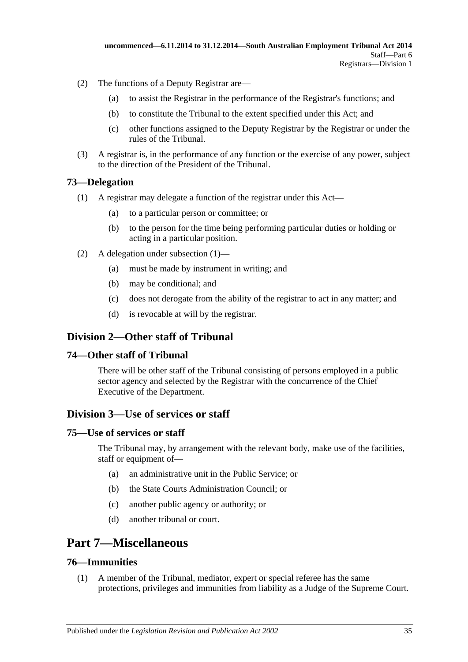- (2) The functions of a Deputy Registrar are—
	- (a) to assist the Registrar in the performance of the Registrar's functions; and
	- (b) to constitute the Tribunal to the extent specified under this Act; and
	- (c) other functions assigned to the Deputy Registrar by the Registrar or under the rules of the Tribunal.
- (3) A registrar is, in the performance of any function or the exercise of any power, subject to the direction of the President of the Tribunal.

#### <span id="page-34-7"></span><span id="page-34-0"></span>**73—Delegation**

- (1) A registrar may delegate a function of the registrar under this Act—
	- (a) to a particular person or committee; or
	- (b) to the person for the time being performing particular duties or holding or acting in a particular position.
- (2) A delegation under [subsection](#page-34-7) (1)—
	- (a) must be made by instrument in writing; and
	- (b) may be conditional; and
	- (c) does not derogate from the ability of the registrar to act in any matter; and
	- (d) is revocable at will by the registrar.

## <span id="page-34-1"></span>**Division 2—Other staff of Tribunal**

#### <span id="page-34-2"></span>**74—Other staff of Tribunal**

There will be other staff of the Tribunal consisting of persons employed in a public sector agency and selected by the Registrar with the concurrence of the Chief Executive of the Department.

#### <span id="page-34-3"></span>**Division 3—Use of services or staff**

#### <span id="page-34-4"></span>**75—Use of services or staff**

The Tribunal may, by arrangement with the relevant body, make use of the facilities, staff or equipment of—

- (a) an administrative unit in the Public Service; or
- (b) the State Courts Administration Council; or
- (c) another public agency or authority; or
- (d) another tribunal or court.

## <span id="page-34-5"></span>**Part 7—Miscellaneous**

#### <span id="page-34-6"></span>**76—Immunities**

(1) A member of the Tribunal, mediator, expert or special referee has the same protections, privileges and immunities from liability as a Judge of the Supreme Court.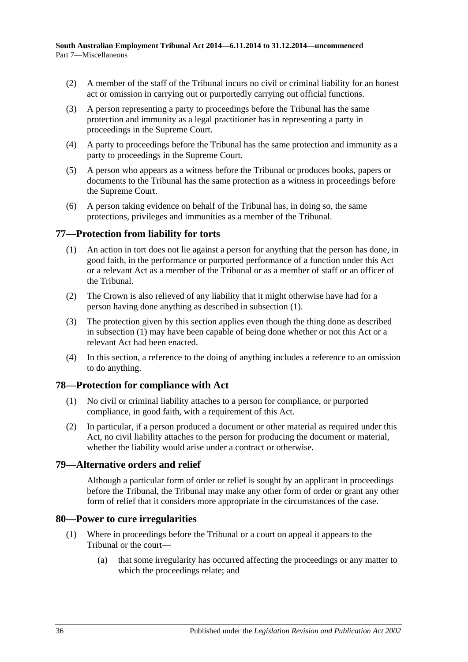- (2) A member of the staff of the Tribunal incurs no civil or criminal liability for an honest act or omission in carrying out or purportedly carrying out official functions.
- (3) A person representing a party to proceedings before the Tribunal has the same protection and immunity as a legal practitioner has in representing a party in proceedings in the Supreme Court.
- (4) A party to proceedings before the Tribunal has the same protection and immunity as a party to proceedings in the Supreme Court.
- (5) A person who appears as a witness before the Tribunal or produces books, papers or documents to the Tribunal has the same protection as a witness in proceedings before the Supreme Court.
- (6) A person taking evidence on behalf of the Tribunal has, in doing so, the same protections, privileges and immunities as a member of the Tribunal.

## <span id="page-35-4"></span><span id="page-35-0"></span>**77—Protection from liability for torts**

- (1) An action in tort does not lie against a person for anything that the person has done, in good faith, in the performance or purported performance of a function under this Act or a relevant Act as a member of the Tribunal or as a member of staff or an officer of the Tribunal.
- (2) The Crown is also relieved of any liability that it might otherwise have had for a person having done anything as described in [subsection](#page-35-4) (1).
- (3) The protection given by this section applies even though the thing done as described in [subsection](#page-35-4) (1) may have been capable of being done whether or not this Act or a relevant Act had been enacted.
- (4) In this section, a reference to the doing of anything includes a reference to an omission to do anything.

#### <span id="page-35-1"></span>**78—Protection for compliance with Act**

- (1) No civil or criminal liability attaches to a person for compliance, or purported compliance, in good faith, with a requirement of this Act.
- (2) In particular, if a person produced a document or other material as required under this Act, no civil liability attaches to the person for producing the document or material, whether the liability would arise under a contract or otherwise.

#### <span id="page-35-2"></span>**79—Alternative orders and relief**

Although a particular form of order or relief is sought by an applicant in proceedings before the Tribunal, the Tribunal may make any other form of order or grant any other form of relief that it considers more appropriate in the circumstances of the case.

#### <span id="page-35-3"></span>**80—Power to cure irregularities**

- (1) Where in proceedings before the Tribunal or a court on appeal it appears to the Tribunal or the court—
	- (a) that some irregularity has occurred affecting the proceedings or any matter to which the proceedings relate; and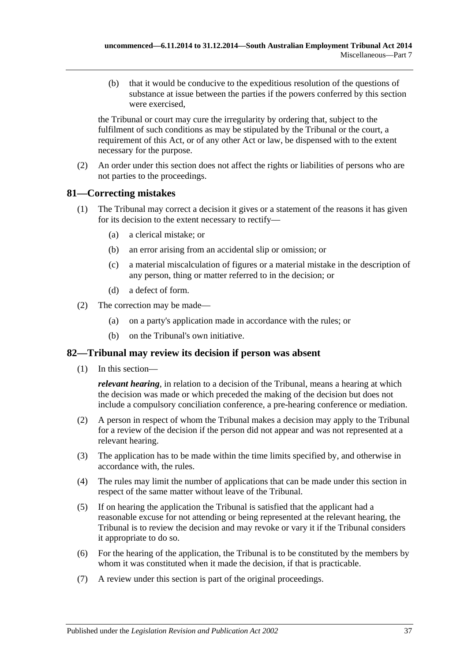(b) that it would be conducive to the expeditious resolution of the questions of substance at issue between the parties if the powers conferred by this section were exercised,

the Tribunal or court may cure the irregularity by ordering that, subject to the fulfilment of such conditions as may be stipulated by the Tribunal or the court, a requirement of this Act, or of any other Act or law, be dispensed with to the extent necessary for the purpose.

(2) An order under this section does not affect the rights or liabilities of persons who are not parties to the proceedings.

## <span id="page-36-0"></span>**81—Correcting mistakes**

- (1) The Tribunal may correct a decision it gives or a statement of the reasons it has given for its decision to the extent necessary to rectify—
	- (a) a clerical mistake; or
	- (b) an error arising from an accidental slip or omission; or
	- (c) a material miscalculation of figures or a material mistake in the description of any person, thing or matter referred to in the decision; or
	- (d) a defect of form.
- (2) The correction may be made—
	- (a) on a party's application made in accordance with the rules; or
	- (b) on the Tribunal's own initiative.

#### <span id="page-36-1"></span>**82—Tribunal may review its decision if person was absent**

(1) In this section—

*relevant hearing*, in relation to a decision of the Tribunal, means a hearing at which the decision was made or which preceded the making of the decision but does not include a compulsory conciliation conference, a pre-hearing conference or mediation.

- (2) A person in respect of whom the Tribunal makes a decision may apply to the Tribunal for a review of the decision if the person did not appear and was not represented at a relevant hearing.
- (3) The application has to be made within the time limits specified by, and otherwise in accordance with, the rules.
- (4) The rules may limit the number of applications that can be made under this section in respect of the same matter without leave of the Tribunal.
- (5) If on hearing the application the Tribunal is satisfied that the applicant had a reasonable excuse for not attending or being represented at the relevant hearing, the Tribunal is to review the decision and may revoke or vary it if the Tribunal considers it appropriate to do so.
- (6) For the hearing of the application, the Tribunal is to be constituted by the members by whom it was constituted when it made the decision, if that is practicable.
- (7) A review under this section is part of the original proceedings.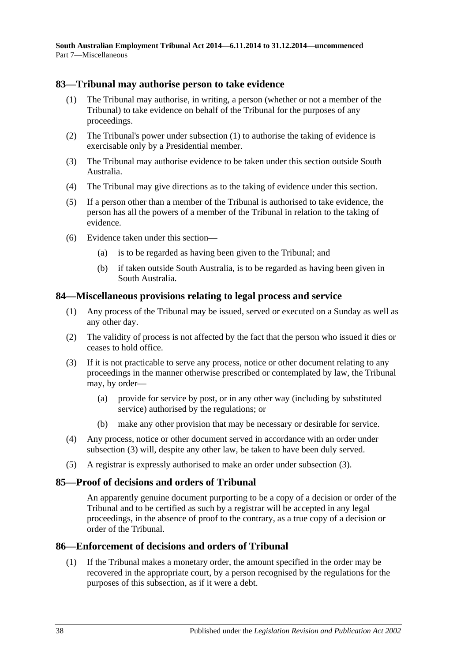#### <span id="page-37-4"></span><span id="page-37-0"></span>**83—Tribunal may authorise person to take evidence**

- (1) The Tribunal may authorise, in writing, a person (whether or not a member of the Tribunal) to take evidence on behalf of the Tribunal for the purposes of any proceedings.
- (2) The Tribunal's power under [subsection](#page-37-4) (1) to authorise the taking of evidence is exercisable only by a Presidential member.
- (3) The Tribunal may authorise evidence to be taken under this section outside South Australia.
- (4) The Tribunal may give directions as to the taking of evidence under this section.
- (5) If a person other than a member of the Tribunal is authorised to take evidence, the person has all the powers of a member of the Tribunal in relation to the taking of evidence.
- (6) Evidence taken under this section—
	- (a) is to be regarded as having been given to the Tribunal; and
	- (b) if taken outside South Australia, is to be regarded as having been given in South Australia.

#### <span id="page-37-1"></span>**84—Miscellaneous provisions relating to legal process and service**

- (1) Any process of the Tribunal may be issued, served or executed on a Sunday as well as any other day.
- (2) The validity of process is not affected by the fact that the person who issued it dies or ceases to hold office.
- <span id="page-37-5"></span>(3) If it is not practicable to serve any process, notice or other document relating to any proceedings in the manner otherwise prescribed or contemplated by law, the Tribunal may, by order—
	- (a) provide for service by post, or in any other way (including by substituted service) authorised by the regulations; or
	- (b) make any other provision that may be necessary or desirable for service.
- (4) Any process, notice or other document served in accordance with an order under [subsection](#page-37-5) (3) will, despite any other law, be taken to have been duly served.
- (5) A registrar is expressly authorised to make an order under [subsection](#page-37-5) (3).

#### <span id="page-37-2"></span>**85—Proof of decisions and orders of Tribunal**

An apparently genuine document purporting to be a copy of a decision or order of the Tribunal and to be certified as such by a registrar will be accepted in any legal proceedings, in the absence of proof to the contrary, as a true copy of a decision or order of the Tribunal.

#### <span id="page-37-3"></span>**86—Enforcement of decisions and orders of Tribunal**

(1) If the Tribunal makes a monetary order, the amount specified in the order may be recovered in the appropriate court, by a person recognised by the regulations for the purposes of this subsection, as if it were a debt.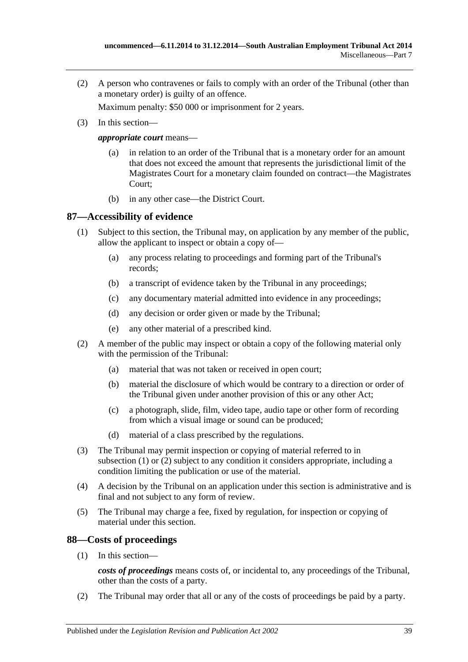(2) A person who contravenes or fails to comply with an order of the Tribunal (other than a monetary order) is guilty of an offence.

Maximum penalty: \$50 000 or imprisonment for 2 years.

(3) In this section—

*appropriate court* means—

- (a) in relation to an order of the Tribunal that is a monetary order for an amount that does not exceed the amount that represents the jurisdictional limit of the Magistrates Court for a monetary claim founded on contract—the Magistrates Court;
- (b) in any other case—the District Court.

#### <span id="page-38-2"></span><span id="page-38-0"></span>**87—Accessibility of evidence**

- (1) Subject to this section, the Tribunal may, on application by any member of the public, allow the applicant to inspect or obtain a copy of—
	- (a) any process relating to proceedings and forming part of the Tribunal's records;
	- (b) a transcript of evidence taken by the Tribunal in any proceedings;
	- (c) any documentary material admitted into evidence in any proceedings;
	- (d) any decision or order given or made by the Tribunal;
	- (e) any other material of a prescribed kind.
- <span id="page-38-3"></span>(2) A member of the public may inspect or obtain a copy of the following material only with the permission of the Tribunal:
	- (a) material that was not taken or received in open court;
	- (b) material the disclosure of which would be contrary to a direction or order of the Tribunal given under another provision of this or any other Act;
	- (c) a photograph, slide, film, video tape, audio tape or other form of recording from which a visual image or sound can be produced;
	- (d) material of a class prescribed by the regulations.
- (3) The Tribunal may permit inspection or copying of material referred to in [subsection](#page-38-2) (1) or [\(2\)](#page-38-3) subject to any condition it considers appropriate, including a condition limiting the publication or use of the material.
- (4) A decision by the Tribunal on an application under this section is administrative and is final and not subject to any form of review.
- (5) The Tribunal may charge a fee, fixed by regulation, for inspection or copying of material under this section.

#### <span id="page-38-1"></span>**88—Costs of proceedings**

(1) In this section—

*costs of proceedings* means costs of, or incidental to, any proceedings of the Tribunal, other than the costs of a party.

(2) The Tribunal may order that all or any of the costs of proceedings be paid by a party.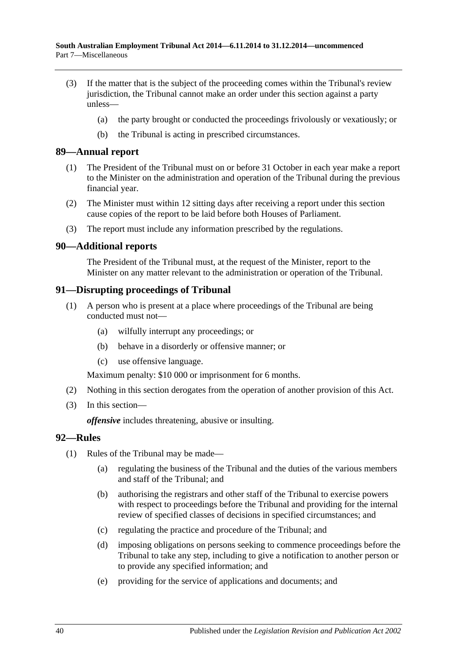- (3) If the matter that is the subject of the proceeding comes within the Tribunal's review jurisdiction, the Tribunal cannot make an order under this section against a party unless—
	- (a) the party brought or conducted the proceedings frivolously or vexatiously; or
	- (b) the Tribunal is acting in prescribed circumstances.

#### <span id="page-39-0"></span>**89—Annual report**

- (1) The President of the Tribunal must on or before 31 October in each year make a report to the Minister on the administration and operation of the Tribunal during the previous financial year.
- (2) The Minister must within 12 sitting days after receiving a report under this section cause copies of the report to be laid before both Houses of Parliament.
- (3) The report must include any information prescribed by the regulations.

#### <span id="page-39-1"></span>**90—Additional reports**

The President of the Tribunal must, at the request of the Minister, report to the Minister on any matter relevant to the administration or operation of the Tribunal.

#### <span id="page-39-2"></span>**91—Disrupting proceedings of Tribunal**

- (1) A person who is present at a place where proceedings of the Tribunal are being conducted must not—
	- (a) wilfully interrupt any proceedings; or
	- (b) behave in a disorderly or offensive manner; or
	- (c) use offensive language.

Maximum penalty: \$10 000 or imprisonment for 6 months.

- (2) Nothing in this section derogates from the operation of another provision of this Act.
- (3) In this section—

*offensive* includes threatening, abusive or insulting.

#### <span id="page-39-3"></span>**92—Rules**

- (1) Rules of the Tribunal may be made—
	- (a) regulating the business of the Tribunal and the duties of the various members and staff of the Tribunal; and
	- (b) authorising the registrars and other staff of the Tribunal to exercise powers with respect to proceedings before the Tribunal and providing for the internal review of specified classes of decisions in specified circumstances; and
	- (c) regulating the practice and procedure of the Tribunal; and
	- (d) imposing obligations on persons seeking to commence proceedings before the Tribunal to take any step, including to give a notification to another person or to provide any specified information; and
	- (e) providing for the service of applications and documents; and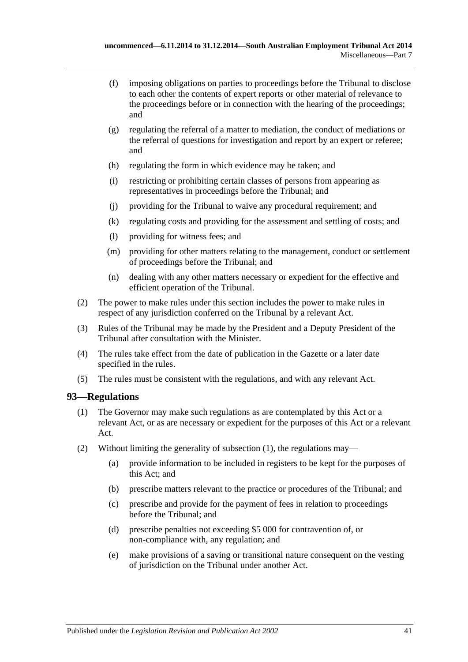- (f) imposing obligations on parties to proceedings before the Tribunal to disclose to each other the contents of expert reports or other material of relevance to the proceedings before or in connection with the hearing of the proceedings; and
- (g) regulating the referral of a matter to mediation, the conduct of mediations or the referral of questions for investigation and report by an expert or referee; and
- (h) regulating the form in which evidence may be taken; and
- (i) restricting or prohibiting certain classes of persons from appearing as representatives in proceedings before the Tribunal; and
- (j) providing for the Tribunal to waive any procedural requirement; and
- (k) regulating costs and providing for the assessment and settling of costs; and
- (l) providing for witness fees; and
- (m) providing for other matters relating to the management, conduct or settlement of proceedings before the Tribunal; and
- (n) dealing with any other matters necessary or expedient for the effective and efficient operation of the Tribunal.
- (2) The power to make rules under this section includes the power to make rules in respect of any jurisdiction conferred on the Tribunal by a relevant Act.
- (3) Rules of the Tribunal may be made by the President and a Deputy President of the Tribunal after consultation with the Minister.
- (4) The rules take effect from the date of publication in the Gazette or a later date specified in the rules.
- (5) The rules must be consistent with the regulations, and with any relevant Act.

#### <span id="page-40-1"></span><span id="page-40-0"></span>**93—Regulations**

- (1) The Governor may make such regulations as are contemplated by this Act or a relevant Act, or as are necessary or expedient for the purposes of this Act or a relevant Act.
- <span id="page-40-2"></span>(2) Without limiting the generality of [subsection](#page-40-1) (1), the regulations may—
	- (a) provide information to be included in registers to be kept for the purposes of this Act; and
	- (b) prescribe matters relevant to the practice or procedures of the Tribunal; and
	- (c) prescribe and provide for the payment of fees in relation to proceedings before the Tribunal; and
	- (d) prescribe penalties not exceeding \$5 000 for contravention of, or non-compliance with, any regulation; and
	- (e) make provisions of a saving or transitional nature consequent on the vesting of jurisdiction on the Tribunal under another Act.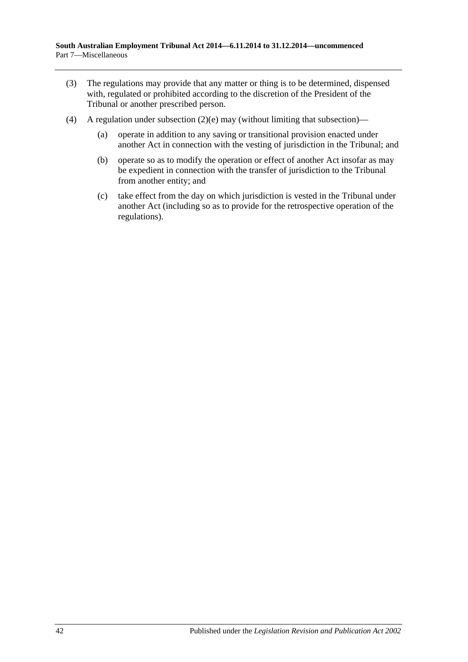- (3) The regulations may provide that any matter or thing is to be determined, dispensed with, regulated or prohibited according to the discretion of the President of the Tribunal or another prescribed person.
- (4) A regulation under [subsection](#page-40-2)  $(2)(e)$  may (without limiting that subsection)—
	- (a) operate in addition to any saving or transitional provision enacted under another Act in connection with the vesting of jurisdiction in the Tribunal; and
	- (b) operate so as to modify the operation or effect of another Act insofar as may be expedient in connection with the transfer of jurisdiction to the Tribunal from another entity; and
	- (c) take effect from the day on which jurisdiction is vested in the Tribunal under another Act (including so as to provide for the retrospective operation of the regulations).